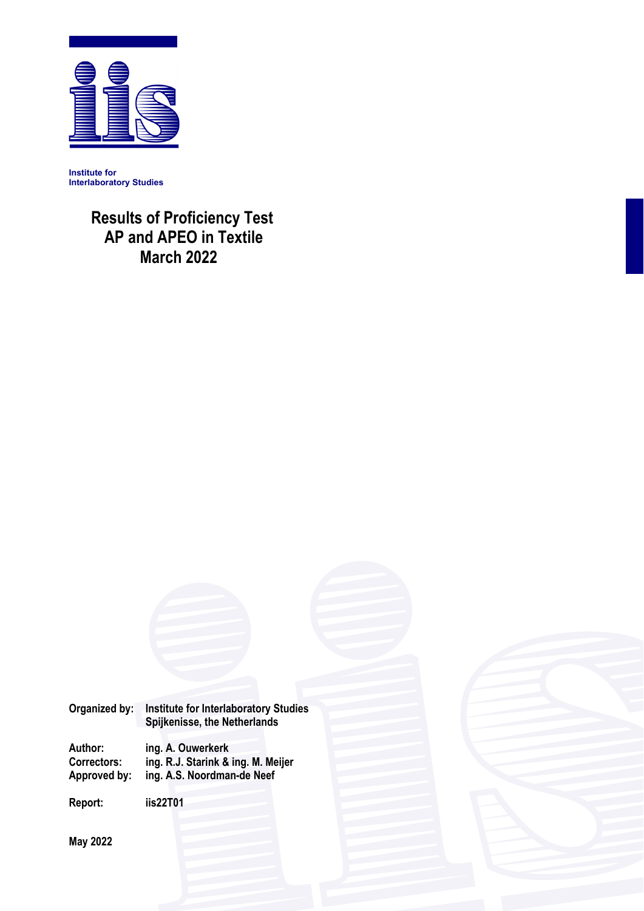

**Institute for Interlaboratory Studies** 

> **Results of Proficiency Test AP and APEO in Textile March 2022**

**Organized by: Institute for Interlaboratory Studies Spijkenisse, the Netherlands** 

**Author: ing. A. Ouwerkerk Correctors: ing. R.J. Starink & ing. M. Meijer Approved by: ing. A.S. Noordman-de Neef** 

**Report: iis22T01** 

**May 2022**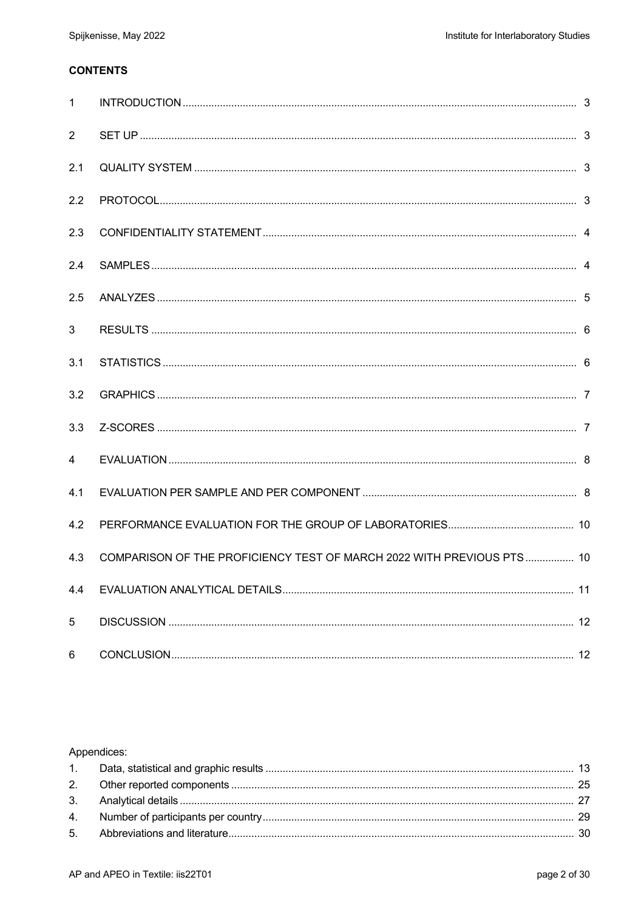## **CONTENTS**

| $\mathbf{1}$   |                                                                       |  |
|----------------|-----------------------------------------------------------------------|--|
| $\overline{2}$ |                                                                       |  |
| 2.1            |                                                                       |  |
| 2.2            |                                                                       |  |
| 2.3            |                                                                       |  |
| 2.4            |                                                                       |  |
| 2.5            |                                                                       |  |
| 3              |                                                                       |  |
| 3.1            |                                                                       |  |
| 3.2            |                                                                       |  |
| 3.3            |                                                                       |  |
| 4              |                                                                       |  |
| 4.1            |                                                                       |  |
| 4.2            |                                                                       |  |
| 4.3            | COMPARISON OF THE PROFICIENCY TEST OF MARCH 2022 WITH PREVIOUS PTS 10 |  |
| 4.4            |                                                                       |  |
| 5              |                                                                       |  |
| 6              |                                                                       |  |

## Appendices: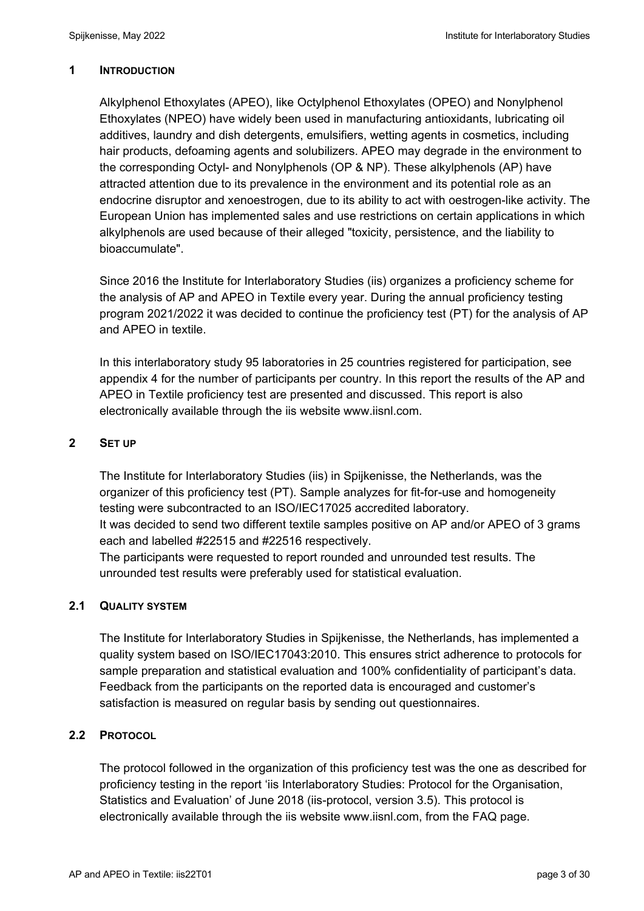### **1 INTRODUCTION**

Alkylphenol Ethoxylates (APEO), like Octylphenol Ethoxylates (OPEO) and Nonylphenol Ethoxylates (NPEO) have widely been used in manufacturing antioxidants, lubricating oil additives, laundry and dish detergents, emulsifiers, wetting agents in cosmetics, including hair products, defoaming agents and solubilizers. APEO may degrade in the environment to the corresponding Octyl- and Nonylphenols (OP & NP). These alkylphenols (AP) have attracted attention due to its prevalence in the environment and its potential role as an endocrine disruptor and xenoestrogen, due to its ability to act with oestrogen-like activity. The European Union has implemented sales and use restrictions on certain applications in which alkylphenols are used because of their alleged "toxicity, persistence, and the liability to bioaccumulate".

Since 2016 the Institute for Interlaboratory Studies (iis) organizes a proficiency scheme for the analysis of AP and APEO in Textile every year. During the annual proficiency testing program 2021/2022 it was decided to continue the proficiency test (PT) for the analysis of AP and APEO in textile.

In this interlaboratory study 95 laboratories in 25 countries registered for participation, see appendix 4 for the number of participants per country. In this report the results of the AP and APEO in Textile proficiency test are presented and discussed. This report is also electronically available through the iis website www.iisnl.com.

## **2 SET UP**

The Institute for Interlaboratory Studies (iis) in Spijkenisse, the Netherlands, was the organizer of this proficiency test (PT). Sample analyzes for fit-for-use and homogeneity testing were subcontracted to an ISO/IEC17025 accredited laboratory. It was decided to send two different textile samples positive on AP and/or APEO of 3 grams each and labelled #22515 and #22516 respectively.

The participants were requested to report rounded and unrounded test results. The unrounded test results were preferably used for statistical evaluation.

## **2.1 QUALITY SYSTEM**

The Institute for Interlaboratory Studies in Spijkenisse, the Netherlands, has implemented a quality system based on ISO/IEC17043:2010. This ensures strict adherence to protocols for sample preparation and statistical evaluation and 100% confidentiality of participant's data. Feedback from the participants on the reported data is encouraged and customer's satisfaction is measured on regular basis by sending out questionnaires.

## **2.2 PROTOCOL**

The protocol followed in the organization of this proficiency test was the one as described for proficiency testing in the report 'iis Interlaboratory Studies: Protocol for the Organisation, Statistics and Evaluation' of June 2018 (iis-protocol, version 3.5). This protocol is electronically available through the iis website www.iisnl.com, from the FAQ page.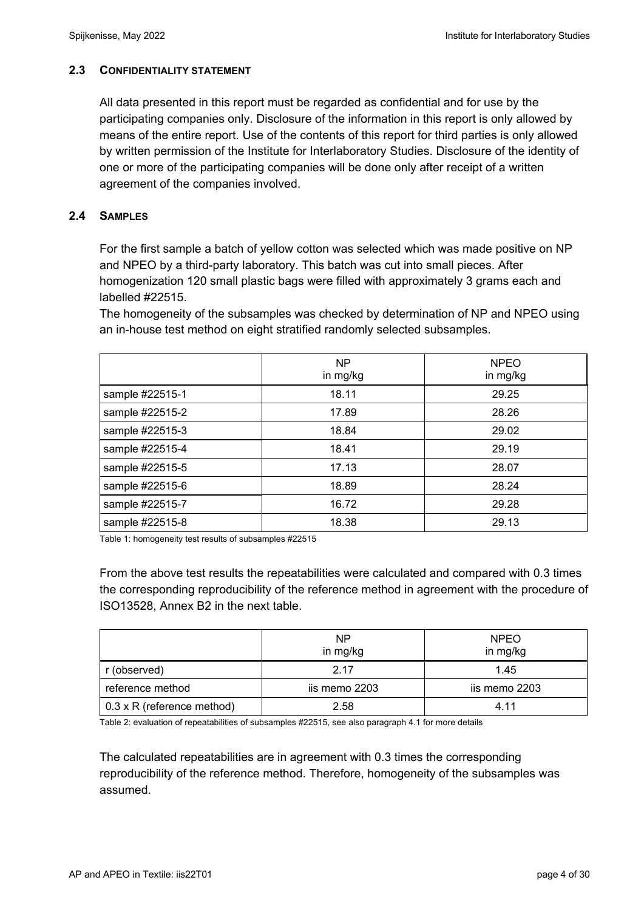## **2.3 CONFIDENTIALITY STATEMENT**

All data presented in this report must be regarded as confidential and for use by the participating companies only. Disclosure of the information in this report is only allowed by means of the entire report. Use of the contents of this report for third parties is only allowed by written permission of the Institute for Interlaboratory Studies. Disclosure of the identity of one or more of the participating companies will be done only after receipt of a written agreement of the companies involved.

## **2.4 SAMPLES**

For the first sample a batch of yellow cotton was selected which was made positive on NP and NPEO by a third-party laboratory. This batch was cut into small pieces. After homogenization 120 small plastic bags were filled with approximately 3 grams each and labelled #22515.

The homogeneity of the subsamples was checked by determination of NP and NPEO using an in-house test method on eight stratified randomly selected subsamples.

|                 | NP<br>in mg/kg | <b>NPEO</b><br>in mg/kg |
|-----------------|----------------|-------------------------|
| sample #22515-1 | 18.11          | 29.25                   |
| sample #22515-2 | 17.89          | 28.26                   |
| sample #22515-3 | 18.84          | 29.02                   |
| sample #22515-4 | 18.41          | 29.19                   |
| sample #22515-5 | 17.13          | 28.07                   |
| sample #22515-6 | 18.89          | 28.24                   |
| sample #22515-7 | 16.72          | 29.28                   |
| sample #22515-8 | 18.38          | 29.13                   |

Table 1: homogeneity test results of subsamples #22515

From the above test results the repeatabilities were calculated and compared with 0.3 times the corresponding reproducibility of the reference method in agreement with the procedure of ISO13528, Annex B2 in the next table.

|                                   | NP.<br>in mg/kg | <b>NPEO</b><br>in mg/kg |
|-----------------------------------|-----------------|-------------------------|
| r (observed)                      | 2 17            | 1.45                    |
| reference method                  | iis memo 2203   | iis memo 2203           |
| $0.3 \times R$ (reference method) | 2.58            | 4.11                    |

Table 2: evaluation of repeatabilities of subsamples #22515, see also paragraph 4.1 for more details

The calculated repeatabilities are in agreement with 0.3 times the corresponding reproducibility of the reference method. Therefore, homogeneity of the subsamples was assumed.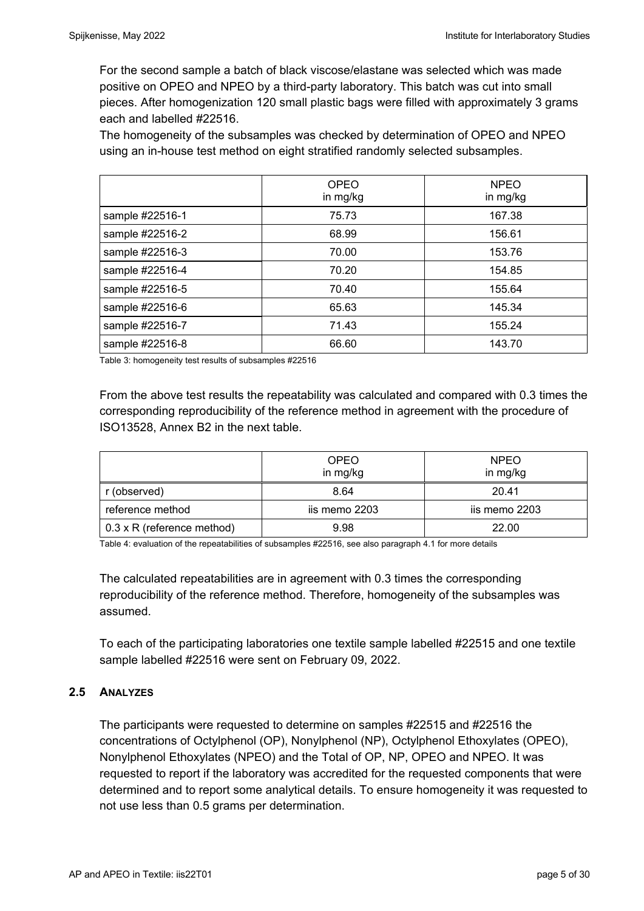For the second sample a batch of black viscose/elastane was selected which was made positive on OPEO and NPEO by a third-party laboratory. This batch was cut into small pieces. After homogenization 120 small plastic bags were filled with approximately 3 grams each and labelled #22516.

The homogeneity of the subsamples was checked by determination of OPEO and NPEO using an in-house test method on eight stratified randomly selected subsamples.

|                 | <b>OPEO</b><br>in mg/kg | <b>NPEO</b><br>in mg/kg |
|-----------------|-------------------------|-------------------------|
| sample #22516-1 | 75.73                   | 167.38                  |
| sample #22516-2 | 68.99                   | 156.61                  |
| sample #22516-3 | 70.00                   | 153.76                  |
| sample #22516-4 | 70.20                   | 154.85                  |
| sample #22516-5 | 70.40                   | 155.64                  |
| sample #22516-6 | 65.63                   | 145.34                  |
| sample #22516-7 | 71.43                   | 155.24                  |
| sample #22516-8 | 66.60                   | 143.70                  |

Table 3: homogeneity test results of subsamples #22516

From the above test results the repeatability was calculated and compared with 0.3 times the corresponding reproducibility of the reference method in agreement with the procedure of ISO13528, Annex B2 in the next table.

|                                   | <b>OPEO</b><br>in mg/kg | <b>NPEO</b><br>in mg/kg |
|-----------------------------------|-------------------------|-------------------------|
| r (observed)                      | 8.64                    | 20.41                   |
| reference method                  | iis memo 2203           | iis memo 2203           |
| $0.3 \times R$ (reference method) | 9.98                    | 22.00                   |

Table 4: evaluation of the repeatabilities of subsamples #22516, see also paragraph 4.1 for more details

The calculated repeatabilities are in agreement with 0.3 times the corresponding reproducibility of the reference method. Therefore, homogeneity of the subsamples was assumed.

To each of the participating laboratories one textile sample labelled #22515 and one textile sample labelled #22516 were sent on February 09, 2022.

## **2.5 ANALYZES**

The participants were requested to determine on samples #22515 and #22516 the concentrations of Octylphenol (OP), Nonylphenol (NP), Octylphenol Ethoxylates (OPEO), Nonylphenol Ethoxylates (NPEO) and the Total of OP, NP, OPEO and NPEO. It was requested to report if the laboratory was accredited for the requested components that were determined and to report some analytical details. To ensure homogeneity it was requested to not use less than 0.5 grams per determination.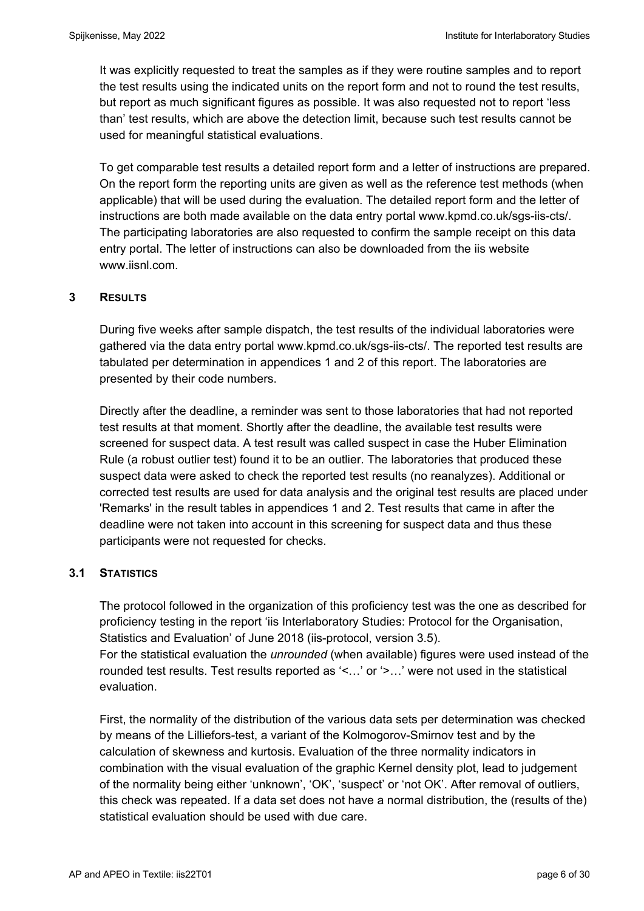It was explicitly requested to treat the samples as if they were routine samples and to report the test results using the indicated units on the report form and not to round the test results, but report as much significant figures as possible. It was also requested not to report 'less than' test results, which are above the detection limit, because such test results cannot be used for meaningful statistical evaluations.

To get comparable test results a detailed report form and a letter of instructions are prepared. On the report form the reporting units are given as well as the reference test methods (when applicable) that will be used during the evaluation. The detailed report form and the letter of instructions are both made available on the data entry portal www.kpmd.co.uk/sgs-iis-cts/. The participating laboratories are also requested to confirm the sample receipt on this data entry portal. The letter of instructions can also be downloaded from the iis website www.iisnl.com.

## **3 RESULTS**

During five weeks after sample dispatch, the test results of the individual laboratories were gathered via the data entry portal www.kpmd.co.uk/sgs-iis-cts/. The reported test results are tabulated per determination in appendices 1 and 2 of this report. The laboratories are presented by their code numbers.

Directly after the deadline, a reminder was sent to those laboratories that had not reported test results at that moment. Shortly after the deadline, the available test results were screened for suspect data. A test result was called suspect in case the Huber Elimination Rule (a robust outlier test) found it to be an outlier. The laboratories that produced these suspect data were asked to check the reported test results (no reanalyzes). Additional or corrected test results are used for data analysis and the original test results are placed under 'Remarks' in the result tables in appendices 1 and 2. Test results that came in after the deadline were not taken into account in this screening for suspect data and thus these participants were not requested for checks.

## **3.1 STATISTICS**

The protocol followed in the organization of this proficiency test was the one as described for proficiency testing in the report 'iis Interlaboratory Studies: Protocol for the Organisation, Statistics and Evaluation' of June 2018 (iis-protocol, version 3.5). For the statistical evaluation the *unrounded* (when available) figures were used instead of the

rounded test results. Test results reported as '<…' or '>…' were not used in the statistical evaluation.

First, the normality of the distribution of the various data sets per determination was checked by means of the Lilliefors-test, a variant of the Kolmogorov-Smirnov test and by the calculation of skewness and kurtosis. Evaluation of the three normality indicators in combination with the visual evaluation of the graphic Kernel density plot, lead to judgement of the normality being either 'unknown', 'OK', 'suspect' or 'not OK'. After removal of outliers, this check was repeated. If a data set does not have a normal distribution, the (results of the) statistical evaluation should be used with due care.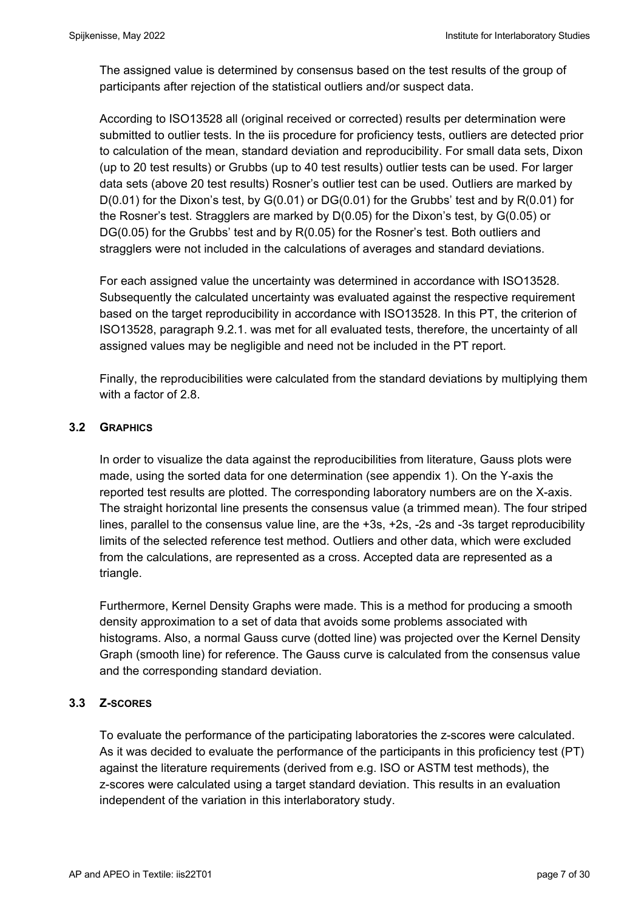The assigned value is determined by consensus based on the test results of the group of participants after rejection of the statistical outliers and/or suspect data.

According to ISO13528 all (original received or corrected) results per determination were submitted to outlier tests. In the iis procedure for proficiency tests, outliers are detected prior to calculation of the mean, standard deviation and reproducibility. For small data sets, Dixon (up to 20 test results) or Grubbs (up to 40 test results) outlier tests can be used. For larger data sets (above 20 test results) Rosner's outlier test can be used. Outliers are marked by  $D(0.01)$  for the Dixon's test, by  $G(0.01)$  or  $DG(0.01)$  for the Grubbs' test and by  $R(0.01)$  for the Rosner's test. Stragglers are marked by D(0.05) for the Dixon's test, by G(0.05) or DG(0.05) for the Grubbs' test and by R(0.05) for the Rosner's test. Both outliers and stragglers were not included in the calculations of averages and standard deviations.

For each assigned value the uncertainty was determined in accordance with ISO13528. Subsequently the calculated uncertainty was evaluated against the respective requirement based on the target reproducibility in accordance with ISO13528. In this PT, the criterion of ISO13528, paragraph 9.2.1. was met for all evaluated tests, therefore, the uncertainty of all assigned values may be negligible and need not be included in the PT report.

Finally, the reproducibilities were calculated from the standard deviations by multiplying them with a factor of 2.8.

## **3.2 GRAPHICS**

In order to visualize the data against the reproducibilities from literature, Gauss plots were made, using the sorted data for one determination (see appendix 1). On the Y-axis the reported test results are plotted. The corresponding laboratory numbers are on the X-axis. The straight horizontal line presents the consensus value (a trimmed mean). The four striped lines, parallel to the consensus value line, are the +3s, +2s, -2s and -3s target reproducibility limits of the selected reference test method. Outliers and other data, which were excluded from the calculations, are represented as a cross. Accepted data are represented as a triangle.

Furthermore, Kernel Density Graphs were made. This is a method for producing a smooth density approximation to a set of data that avoids some problems associated with histograms. Also, a normal Gauss curve (dotted line) was projected over the Kernel Density Graph (smooth line) for reference. The Gauss curve is calculated from the consensus value and the corresponding standard deviation.

## **3.3 Z-SCORES**

To evaluate the performance of the participating laboratories the z-scores were calculated. As it was decided to evaluate the performance of the participants in this proficiency test (PT) against the literature requirements (derived from e.g. ISO or ASTM test methods), the z-scores were calculated using a target standard deviation. This results in an evaluation independent of the variation in this interlaboratory study.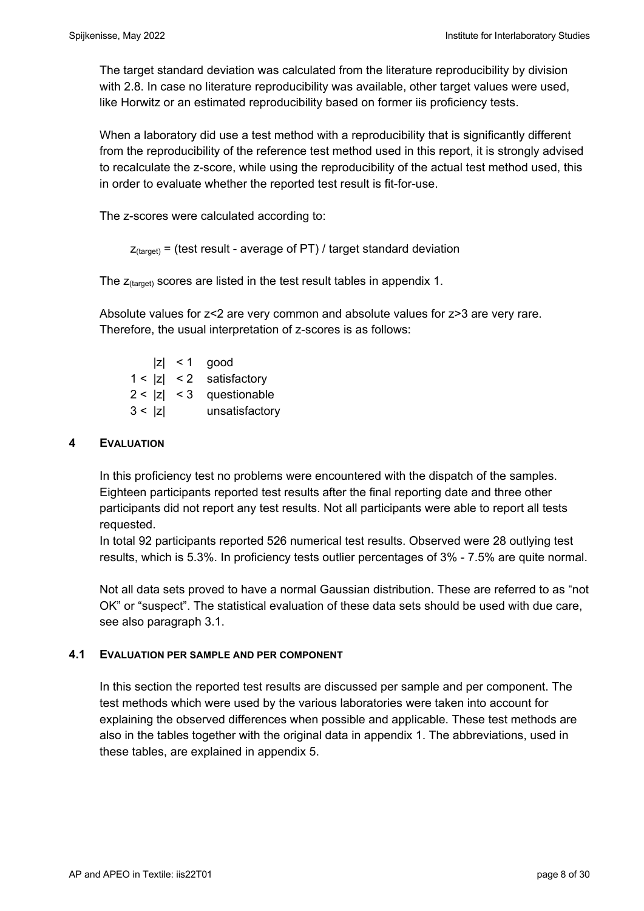The target standard deviation was calculated from the literature reproducibility by division with 2.8. In case no literature reproducibility was available, other target values were used, like Horwitz or an estimated reproducibility based on former iis proficiency tests.

When a laboratory did use a test method with a reproducibility that is significantly different from the reproducibility of the reference test method used in this report, it is strongly advised to recalculate the z-score, while using the reproducibility of the actual test method used, this in order to evaluate whether the reported test result is fit-for-use.

The z-scores were calculated according to:

```
Z_{\text{target}} = (test result - average of PT) / target standard deviation
```
The  $z_{\text{(target)}}$  scores are listed in the test result tables in appendix 1.

Absolute values for z<2 are very common and absolute values for z>3 are very rare. Therefore, the usual interpretation of z-scores is as follows:

|        | $ z  < 1$ good             |
|--------|----------------------------|
|        | $1 <  z  < 2$ satisfactory |
|        | $2 <  z  < 3$ questionable |
| 3 <  z | unsatisfactory             |

### **4 EVALUATION**

In this proficiency test no problems were encountered with the dispatch of the samples. Eighteen participants reported test results after the final reporting date and three other participants did not report any test results. Not all participants were able to report all tests requested.

In total 92 participants reported 526 numerical test results. Observed were 28 outlying test results, which is 5.3%. In proficiency tests outlier percentages of 3% - 7.5% are quite normal.

Not all data sets proved to have a normal Gaussian distribution. These are referred to as "not OK" or "suspect". The statistical evaluation of these data sets should be used with due care, see also paragraph 3.1.

### **4.1 EVALUATION PER SAMPLE AND PER COMPONENT**

In this section the reported test results are discussed per sample and per component. The test methods which were used by the various laboratories were taken into account for explaining the observed differences when possible and applicable. These test methods are also in the tables together with the original data in appendix 1. The abbreviations, used in these tables, are explained in appendix 5.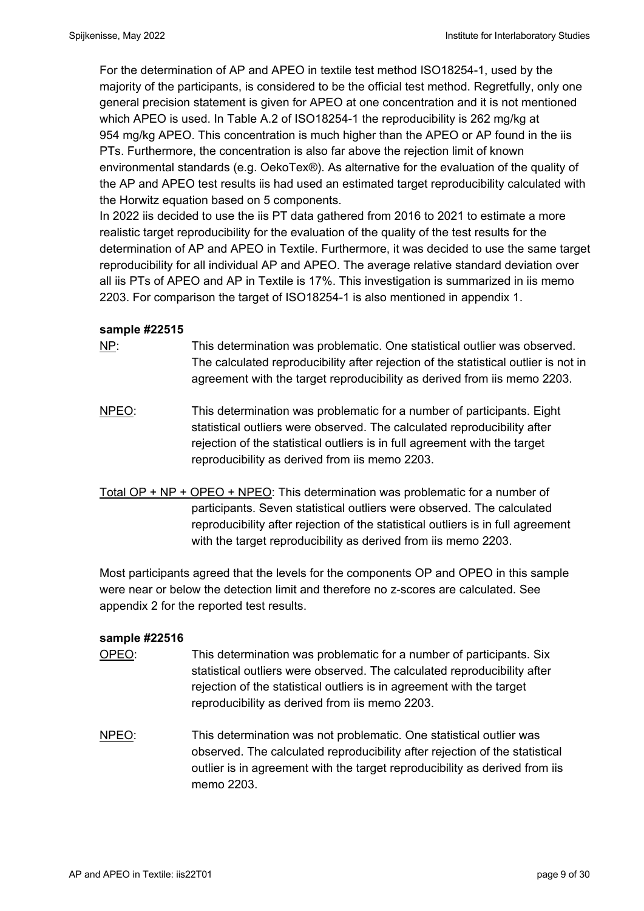For the determination of AP and APEO in textile test method ISO18254-1, used by the majority of the participants, is considered to be the official test method. Regretfully, only one general precision statement is given for APEO at one concentration and it is not mentioned which APEO is used. In Table A.2 of ISO18254-1 the reproducibility is 262 mg/kg at 954 mg/kg APEO. This concentration is much higher than the APEO or AP found in the iis PTs. Furthermore, the concentration is also far above the rejection limit of known environmental standards (e.g. OekoTex®). As alternative for the evaluation of the quality of the AP and APEO test results iis had used an estimated target reproducibility calculated with the Horwitz equation based on 5 components.

In 2022 iis decided to use the iis PT data gathered from 2016 to 2021 to estimate a more realistic target reproducibility for the evaluation of the quality of the test results for the determination of AP and APEO in Textile. Furthermore, it was decided to use the same target reproducibility for all individual AP and APEO. The average relative standard deviation over all iis PTs of APEO and AP in Textile is 17%. This investigation is summarized in iis memo 2203. For comparison the target of ISO18254-1 is also mentioned in appendix 1.

## **sample #22515**

- NP: This determination was problematic. One statistical outlier was observed. The calculated reproducibility after rejection of the statistical outlier is not in agreement with the target reproducibility as derived from iis memo 2203.
- NPEO: This determination was problematic for a number of participants. Eight statistical outliers were observed. The calculated reproducibility after rejection of the statistical outliers is in full agreement with the target reproducibility as derived from iis memo 2203.
- Total OP + NP + OPEO + NPEO: This determination was problematic for a number of participants. Seven statistical outliers were observed. The calculated reproducibility after rejection of the statistical outliers is in full agreement with the target reproducibility as derived from iis memo 2203.

Most participants agreed that the levels for the components OP and OPEO in this sample were near or below the detection limit and therefore no z-scores are calculated. See appendix 2 for the reported test results.

## **sample #22516**

- OPEO: This determination was problematic for a number of participants. Six statistical outliers were observed. The calculated reproducibility after rejection of the statistical outliers is in agreement with the target reproducibility as derived from iis memo 2203.
- NPEO: This determination was not problematic. One statistical outlier was observed. The calculated reproducibility after rejection of the statistical outlier is in agreement with the target reproducibility as derived from iis memo 2203.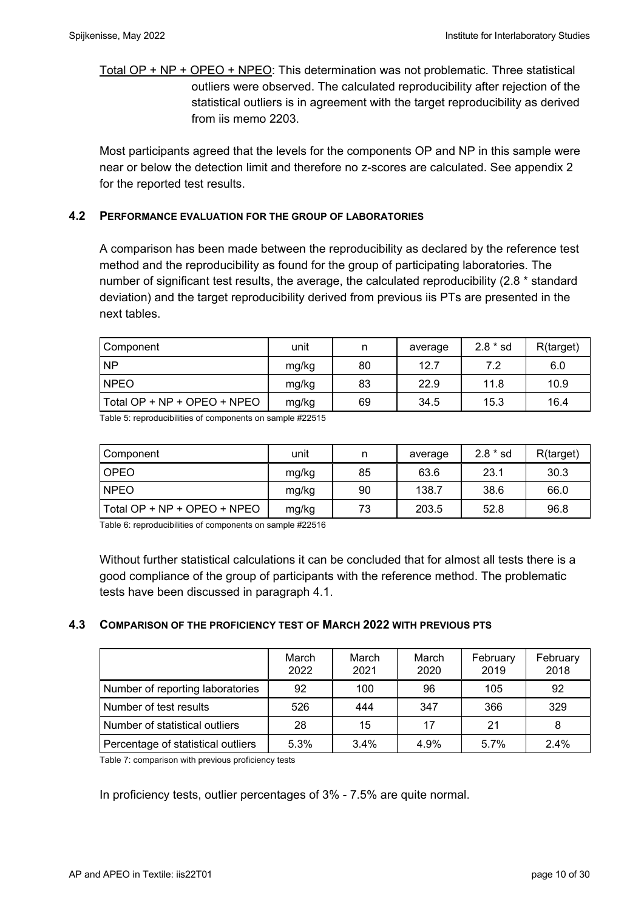Total OP + NP + OPEO + NPEO: This determination was not problematic. Three statistical outliers were observed. The calculated reproducibility after rejection of the statistical outliers is in agreement with the target reproducibility as derived from iis memo 2203.

Most participants agreed that the levels for the components OP and NP in this sample were near or below the detection limit and therefore no z-scores are calculated. See appendix 2 for the reported test results.

## **4.2 PERFORMANCE EVALUATION FOR THE GROUP OF LABORATORIES**

A comparison has been made between the reproducibility as declared by the reference test method and the reproducibility as found for the group of participating laboratories. The number of significant test results, the average, the calculated reproducibility (2.8 \* standard deviation) and the target reproducibility derived from previous iis PTs are presented in the next tables.

| Component                     | unit  | n  | average | $2.8 * sd$ | R(target) |
|-------------------------------|-------|----|---------|------------|-----------|
| <b>NP</b>                     | mg/kg | 80 | 12.7    | 7.2        | 6.0       |
| <b>NPEO</b>                   | mg/kg | 83 | 22.9    | 11.8       | 10.9      |
| Total OP + $NP$ + OPEO + NPEO | mg/kg | 69 | 34.5    | 15.3       | 16.4      |

Table 5: reproducibilities of components on sample #22515

| Component                   | unit  | n  | average | $2.8 * sd$ | R(target) |
|-----------------------------|-------|----|---------|------------|-----------|
| <b>LOPEO</b>                | mg/kg | 85 | 63.6    | 23.1       | 30.3      |
| <b>INPEO</b>                | mg/kg | 90 | 138.7   | 38.6       | 66.0      |
| Total OP + NP + OPEO + NPEO | mg/kg | 73 | 203.5   | 52.8       | 96.8      |

Table 6: reproducibilities of components on sample #22516

Without further statistical calculations it can be concluded that for almost all tests there is a good compliance of the group of participants with the reference method. The problematic tests have been discussed in paragraph 4.1.

## **4.3 COMPARISON OF THE PROFICIENCY TEST OF MARCH 2022 WITH PREVIOUS PTS**

|                                    | March<br>2022 | March<br>2021 | March<br>2020 | February<br>2019 | February<br>2018 |
|------------------------------------|---------------|---------------|---------------|------------------|------------------|
| Number of reporting laboratories   | 92            | 100           | 96            | 105              | 92               |
| Number of test results             | 526           | 444           | 347           | 366              | 329              |
| Number of statistical outliers     | 28            | 15            | 17            | 21               | 8                |
| Percentage of statistical outliers | 5.3%          | 3.4%          | 4.9%          | 5.7%             | 2.4%             |

Table 7: comparison with previous proficiency tests

In proficiency tests, outlier percentages of 3% - 7.5% are quite normal.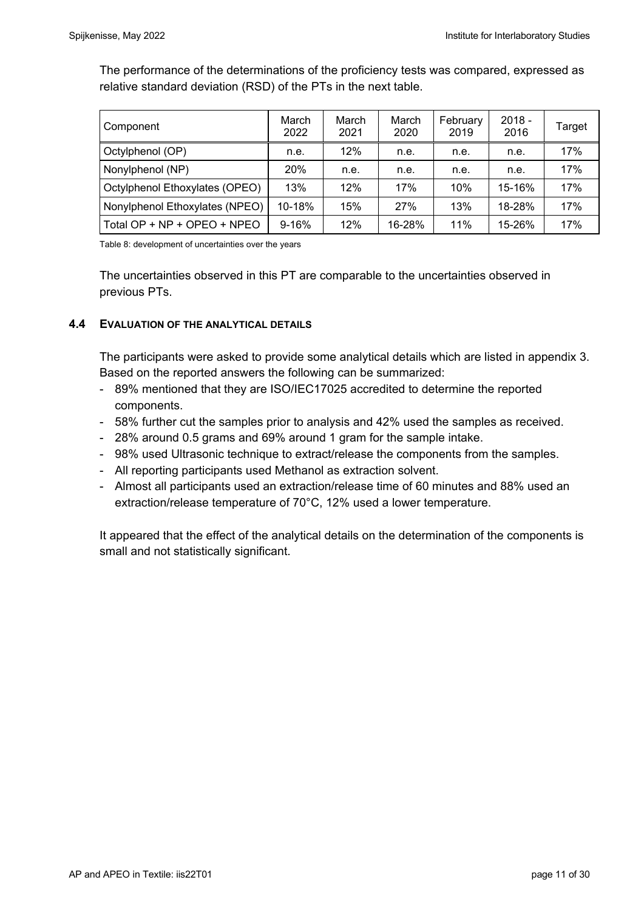The performance of the determinations of the proficiency tests was compared, expressed as relative standard deviation (RSD) of the PTs in the next table.

| Component                      | March<br>2022 | March<br>2021 | March<br>2020 | February<br>2019 | $2018 -$<br>2016 | Target |
|--------------------------------|---------------|---------------|---------------|------------------|------------------|--------|
| Octylphenol (OP)               | n.e.          | 12%           | n.e.          | n.e.             | n.e.             | 17%    |
| Nonylphenol (NP)               | 20%           | n.e.          | n.e.          | n.e.             | n.e.             | 17%    |
| Octylphenol Ethoxylates (OPEO) | 13%           | 12%           | 17%           | 10%              | 15-16%           | 17%    |
| Nonylphenol Ethoxylates (NPEO) | 10-18%        | 15%           | 27%           | 13%              | 18-28%           | 17%    |
| Total $OP + NP + OPEO + NPEO$  | $9 - 16%$     | 12%           | 16-28%        | 11%              | 15-26%           | 17%    |

Table 8: development of uncertainties over the years

The uncertainties observed in this PT are comparable to the uncertainties observed in previous PTs.

### **4.4 EVALUATION OF THE ANALYTICAL DETAILS**

The participants were asked to provide some analytical details which are listed in appendix 3. Based on the reported answers the following can be summarized:

- 89% mentioned that they are ISO/IEC17025 accredited to determine the reported components.
- 58% further cut the samples prior to analysis and 42% used the samples as received.
- 28% around 0.5 grams and 69% around 1 gram for the sample intake.
- 98% used Ultrasonic technique to extract/release the components from the samples.
- All reporting participants used Methanol as extraction solvent.
- Almost all participants used an extraction/release time of 60 minutes and 88% used an extraction/release temperature of 70°C, 12% used a lower temperature.

It appeared that the effect of the analytical details on the determination of the components is small and not statistically significant.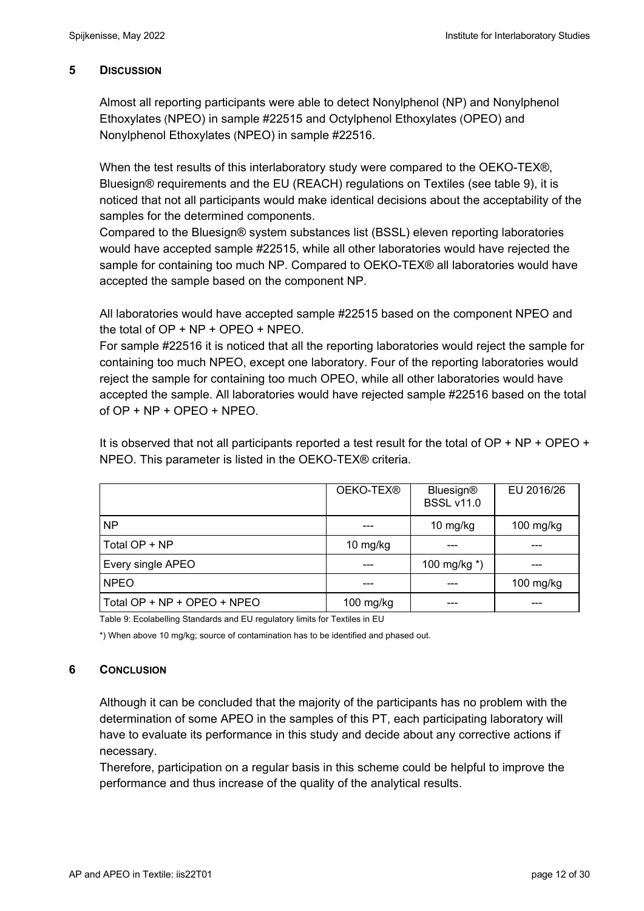## **5 DISCUSSION**

Almost all reporting participants were able to detect Nonylphenol (NP) and Nonylphenol Ethoxylates (NPEO) in sample #22515 and Octylphenol Ethoxylates (OPEO) and Nonylphenol Ethoxylates (NPEO) in sample #22516.

When the test results of this interlaboratory study were compared to the OEKO-TEX®, Bluesign® requirements and the EU (REACH) regulations on Textiles (see table 9), it is noticed that not all participants would make identical decisions about the acceptability of the samples for the determined components.

Compared to the Bluesign® system substances list (BSSL) eleven reporting laboratories would have accepted sample #22515, while all other laboratories would have rejected the sample for containing too much NP. Compared to OEKO-TEX® all laboratories would have accepted the sample based on the component NP.

All laboratories would have accepted sample #22515 based on the component NPEO and the total of OP + NP + OPEO + NPEO.

For sample #22516 it is noticed that all the reporting laboratories would reject the sample for containing too much NPEO, except one laboratory. Four of the reporting laboratories would reject the sample for containing too much OPEO, while all other laboratories would have accepted the sample. All laboratories would have rejected sample #22516 based on the total of OP + NP + OPEO + NPEO.

|                   | OEKO-TEX® | <b>Bluesign®</b><br><b>BSSL v11.0</b> | EU 2016/26 |
|-------------------|-----------|---------------------------------------|------------|
| <b>NP</b>         | ---       | $10$ mg/kg                            | 100 mg/kg  |
| Total OP + NP     | 10 mg/kg  | ---                                   | ---        |
| Every single APEO | ---       | 100 mg/kg $*$ )                       | ---        |
| <b>NPEO</b>       |           |                                       | 100 mg/kg  |

It is observed that not all participants reported a test result for the total of OP + NP + OPEO + NPEO. This parameter is listed in the OEKO-TEX® criteria.

 $\vert$  Total OP + NP + OPEO + NPEO  $\vert$  100 mg/kg Table 9: Ecolabelling Standards and EU regulatory limits for Textiles in EU

\*) When above 10 mg/kg; source of contamination has to be identified and phased out.

## **6 CONCLUSION**

Although it can be concluded that the majority of the participants has no problem with the determination of some APEO in the samples of this PT, each participating laboratory will have to evaluate its performance in this study and decide about any corrective actions if necessary.

Therefore, participation on a regular basis in this scheme could be helpful to improve the performance and thus increase of the quality of the analytical results.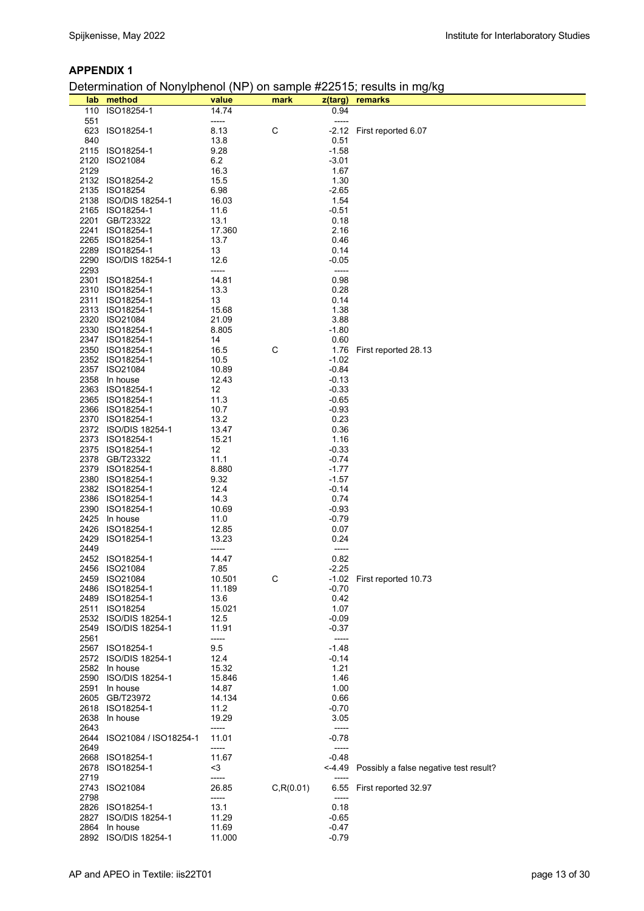### **APPENDIX 1**

Determination of Nonylphenol (NP) on sample #22515; results in mg/kg

|              | $\alpha$ . The contraction of the complete the set of $\alpha$ is the complete that $\alpha$ is the complete that $\alpha$ |                |             |                  |                                               |
|--------------|----------------------------------------------------------------------------------------------------------------------------|----------------|-------------|------------------|-----------------------------------------------|
|              | lab method                                                                                                                 | value<br>14.74 | mark        |                  | z(targ) remarks                               |
| 110          | ISO18254-1                                                                                                                 |                |             | 0.94             |                                               |
| 551          |                                                                                                                            | -----          |             | -----            |                                               |
|              | 623 ISO18254-1                                                                                                             | 8.13           | $\mathsf C$ |                  | -2.12 First reported 6.07                     |
| 840          |                                                                                                                            | 13.8           |             | 0.51<br>$-1.58$  |                                               |
|              | 2115 ISO18254-1                                                                                                            | 9.28           |             |                  |                                               |
| 2120         | ISO21084                                                                                                                   | 6.2            |             | $-3.01$          |                                               |
| 2129         |                                                                                                                            | 16.3           |             | 1.67             |                                               |
|              | 2132 ISO18254-2                                                                                                            | 15.5           |             | 1.30             |                                               |
|              | 2135 ISO18254                                                                                                              | 6.98           |             | -2.65            |                                               |
|              | 2138 ISO/DIS 18254-1                                                                                                       | 16.03          |             | 1.54             |                                               |
|              | 2165 ISO18254-1                                                                                                            | 11.6           |             | $-0.51$          |                                               |
|              | 2201 GB/T23322                                                                                                             | 13.1           |             | 0.18             |                                               |
|              | 2241 ISO18254-1                                                                                                            | 17.360         |             | 2.16             |                                               |
|              | 2265 ISO18254-1<br>2289 ISO18254-1                                                                                         | 13.7           |             | 0.46<br>0.14     |                                               |
|              | 2290 ISO/DIS 18254-1                                                                                                       | 13<br>12.6     |             | $-0.05$          |                                               |
| 2293         |                                                                                                                            | -----          |             | -----            |                                               |
|              | 2301 ISO18254-1                                                                                                            | 14.81          |             | 0.98             |                                               |
|              | 2310 ISO18254-1                                                                                                            | 13.3           |             | 0.28             |                                               |
|              | 2311 ISO18254-1                                                                                                            | 13             |             | 0.14             |                                               |
|              | 2313 ISO18254-1                                                                                                            | 15.68          |             | 1.38             |                                               |
|              | 2320 ISO21084                                                                                                              | 21.09          |             | 3.88             |                                               |
|              | 2330 ISO18254-1                                                                                                            | 8.805          |             | $-1.80$          |                                               |
|              | 2347 ISO18254-1                                                                                                            | 14             |             | 0.60             |                                               |
|              | 2350 ISO18254-1                                                                                                            | 16.5           | C           |                  | 1.76 First reported 28.13                     |
|              | 2352 ISO18254-1                                                                                                            | 10.5           |             | $-1.02$          |                                               |
|              | 2357 ISO21084                                                                                                              | 10.89          |             | -0.84            |                                               |
|              | 2358 In house                                                                                                              | 12.43          |             | $-0.13$          |                                               |
|              | 2363 ISO18254-1                                                                                                            | 12             |             | $-0.33$          |                                               |
|              | 2365 ISO18254-1                                                                                                            | 11.3           |             | $-0.65$          |                                               |
|              | 2366 ISO18254-1                                                                                                            | 10.7           |             | $-0.93$          |                                               |
|              | 2370 ISO18254-1                                                                                                            | 13.2           |             | 0.23             |                                               |
|              | 2372 ISO/DIS 18254-1                                                                                                       | 13.47          |             | 0.36             |                                               |
|              | 2373 ISO18254-1                                                                                                            | 15.21          |             | 1.16             |                                               |
|              | 2375 ISO18254-1                                                                                                            | 12             |             | $-0.33$          |                                               |
|              | 2378 GB/T23322                                                                                                             | 11.1           |             | -0.74            |                                               |
|              | 2379 ISO18254-1                                                                                                            | 8.880          |             | $-1.77$          |                                               |
|              | 2380 ISO18254-1                                                                                                            | 9.32           |             | $-1.57$          |                                               |
|              | 2382 ISO18254-1                                                                                                            | 12.4           |             | $-0.14$          |                                               |
|              | 2386 ISO18254-1                                                                                                            | 14.3           |             | 0.74             |                                               |
|              | 2390 ISO18254-1                                                                                                            | 10.69          |             | $-0.93$          |                                               |
|              | 2425 In house                                                                                                              | 11.0           |             | $-0.79$          |                                               |
|              | 2426 ISO18254-1                                                                                                            | 12.85          |             | 0.07             |                                               |
|              | 2429 ISO18254-1                                                                                                            | 13.23          |             | 0.24             |                                               |
| 2449         |                                                                                                                            | -----          |             | -----            |                                               |
|              | 2452 ISO18254-1                                                                                                            | 14.47          |             | 0.82             |                                               |
|              | 2456 ISO21084                                                                                                              | 7.85           |             | $-2.25$          |                                               |
|              | 2459 ISO21084                                                                                                              | 10.501         | $\mathsf C$ |                  | -1.02 First reported 10.73                    |
| 2486         | ISO18254-1                                                                                                                 | 11.189         |             | -0.70            |                                               |
|              | 2489 ISO18254-1                                                                                                            | 13.6           |             | 0.42             |                                               |
|              | 2511 ISO18254                                                                                                              | 15.021         |             | 1.07             |                                               |
|              | 2532 ISO/DIS 18254-1                                                                                                       | 12.5           |             | $-0.09$          |                                               |
|              | 2549 ISO/DIS 18254-1                                                                                                       | 11.91          |             | $-0.37$          |                                               |
| 2561         |                                                                                                                            | -----          |             | -----            |                                               |
|              | 2567 ISO18254-1                                                                                                            | 9.5            |             | $-1.48$          |                                               |
|              | 2572 ISO/DIS 18254-1                                                                                                       | 12.4           |             | -0.14            |                                               |
|              | 2582 In house                                                                                                              | 15.32          |             | 1.21             |                                               |
|              | 2590 ISO/DIS 18254-1                                                                                                       | 15.846         |             | 1.46             |                                               |
|              | 2591 In house                                                                                                              | 14.87          |             | 1.00             |                                               |
|              | 2605 GB/T23972                                                                                                             | 14.134         |             | 0.66             |                                               |
|              | 2618 ISO18254-1                                                                                                            | 11.2           |             | $-0.70$          |                                               |
|              | 2638 In house                                                                                                              | 19.29          |             | 3.05             |                                               |
| 2643<br>2644 |                                                                                                                            | -----          |             | -----<br>$-0.78$ |                                               |
| 2649         | ISO21084 / ISO18254-1                                                                                                      | 11.01          |             |                  |                                               |
| 2668         |                                                                                                                            | -----<br>11.67 |             | -----<br>-0.48   |                                               |
| 2678         | ISO18254-1                                                                                                                 | <3             |             |                  |                                               |
| 2719         | ISO18254-1                                                                                                                 | -----          |             |                  | <-4.49 Possibly a false negative test result? |
| 2743         | ISO21084                                                                                                                   | 26.85          | C, R(0.01)  |                  | 6.55 First reported 32.97                     |
| 2798         |                                                                                                                            | -----          |             | -----            |                                               |
|              | 2826 ISO18254-1                                                                                                            | 13.1           |             | 0.18             |                                               |
| 2827         | <b>ISO/DIS 18254-1</b>                                                                                                     | 11.29          |             | $-0.65$          |                                               |
| 2864         | In house                                                                                                                   | 11.69          |             | $-0.47$          |                                               |
|              | 2892 ISO/DIS 18254-1                                                                                                       | 11.000         |             | $-0.79$          |                                               |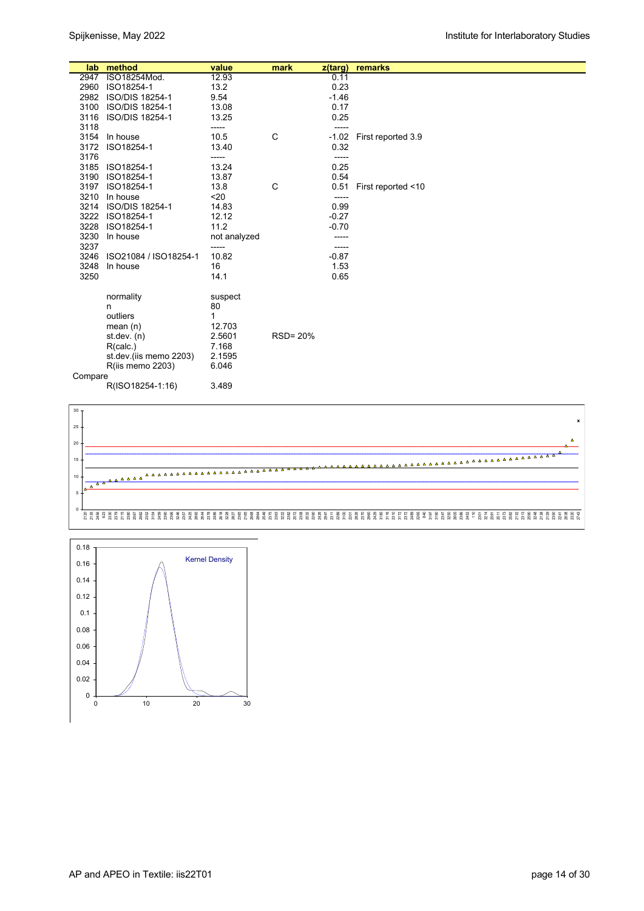| lab          | method                 | value        | mark     | z(targ)      | remarks            |
|--------------|------------------------|--------------|----------|--------------|--------------------|
| 2947         | ISO18254Mod.           | 12.93        |          | 0.11         |                    |
| 2960         | ISO18254-1             | 13.2         |          | 0.23         |                    |
| 2982         | ISO/DIS 18254-1        | 9.54         |          | $-1.46$      |                    |
| 3100         | ISO/DIS 18254-1        | 13.08        |          | 0.17         |                    |
| 3116         | ISO/DIS 18254-1        | 13.25        |          | 0.25         |                    |
| 3118         |                        | -----        |          | -----        |                    |
| 3154         | In house               | 10.5         | C        | $-1.02$      | First reported 3.9 |
| 3172         | ISO18254-1             | 13.40        |          | 0.32         |                    |
| 3176         |                        | -----        |          | -----        |                    |
| 3185         | ISO18254-1             | 13.24        |          | 0.25         |                    |
| 3190         | ISO18254-1             | 13.87        |          | 0.54         |                    |
| 3197         | ISO18254-1             | 13.8         | C        | 0.51         | First reported <10 |
| 3210         | In house               | $20$         |          | -----        |                    |
| 3214         | ISO/DIS 18254-1        | 14.83        |          | 0.99         |                    |
| 3222         | ISO18254-1             | 12.12        |          | $-0.27$      |                    |
| 3228         | ISO18254-1             | 11.2         |          | $-0.70$      |                    |
| 3230         | In house               | not analyzed |          |              |                    |
| 3237         |                        | -----        |          | -----        |                    |
| 3246         | ISO21084 / ISO18254-1  | 10.82<br>16  |          | $-0.87$      |                    |
| 3248<br>3250 | In house               | 14.1         |          | 1.53<br>0.65 |                    |
|              |                        |              |          |              |                    |
|              | normality              | suspect      |          |              |                    |
|              | n                      | 80           |          |              |                    |
|              | outliers               | 1            |          |              |                    |
|              | mean $(n)$             | 12.703       |          |              |                    |
|              | st.dev. $(n)$          | 2.5601       | RSD= 20% |              |                    |
|              | R(calc.)               | 7.168        |          |              |                    |
|              | st.dev.(iis memo 2203) | 2.1595       |          |              |                    |
|              | R(iis memo 2203)       | 6.046        |          |              |                    |
| Compare      |                        |              |          |              |                    |
|              | R(ISO18254-1:16)       | 3.489        |          |              |                    |



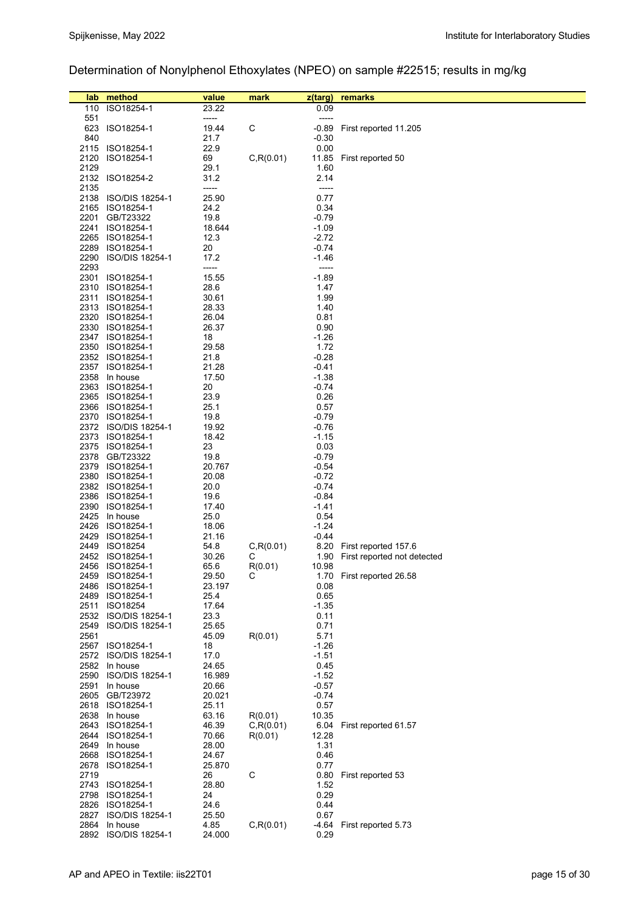# Determination of Nonylphenol Ethoxylates (NPEO) on sample #22515; results in mg/kg

| lab          | method                                | value           | mark         | $z$ (targ)         | remarks                     |
|--------------|---------------------------------------|-----------------|--------------|--------------------|-----------------------------|
| 110          | ISO18254-1                            | 23.22           |              | 0.09               |                             |
| 551<br>623   | ISO18254-1                            | -----<br>19.44  | C            | -----<br>$-0.89$   | First reported 11.205       |
| 840          |                                       | 21.7            |              | $-0.30$            |                             |
|              | 2115 ISO18254-1                       | 22.9            |              | 0.00               |                             |
| 2120<br>2129 | ISO18254-1                            | 69<br>29.1      | C, R(0.01)   | 11.85<br>1.60      | First reported 50           |
|              | 2132 ISO18254-2                       | 31.2            |              | 2.14               |                             |
| 2135         |                                       | -----           |              | -----              |                             |
| 2138         | <b>ISO/DIS 18254-1</b>                | 25.90           |              | 0.77               |                             |
| 2201         | 2165 ISO18254-1<br>GB/T23322          | 24.2<br>19.8    |              | 0.34<br>$-0.79$    |                             |
|              | 2241 ISO18254-1                       | 18.644          |              | $-1.09$            |                             |
|              | 2265 ISO18254-1                       | 12.3            |              | $-2.72$            |                             |
|              | 2289 ISO18254-1                       | 20              |              | $-0.74$<br>$-1.46$ |                             |
| 2293         | 2290 ISO/DIS 18254-1                  | 17.2<br>-----   |              | -----              |                             |
|              | 2301 ISO18254-1                       | 15.55           |              | $-1.89$            |                             |
|              | 2310 ISO18254-1                       | 28.6            |              | 1.47               |                             |
|              | 2311 ISO18254-1<br>2313 ISO18254-1    | 30.61<br>28.33  |              | 1.99<br>1.40       |                             |
|              | 2320 ISO18254-1                       | 26.04           |              | 0.81               |                             |
|              | 2330 ISO18254-1                       | 26.37           |              | 0.90               |                             |
|              | 2347 ISO18254-1<br>2350 ISO18254-1    | 18              |              | $-1.26$            |                             |
|              | 2352 ISO18254-1                       | 29.58<br>21.8   |              | 1.72<br>$-0.28$    |                             |
|              | 2357 ISO18254-1                       | 21.28           |              | $-0.41$            |                             |
|              | 2358 In house                         | 17.50           |              | $-1.38$            |                             |
|              | 2363 ISO18254-1<br>2365 ISO18254-1    | 20<br>23.9      |              | $-0.74$<br>0.26    |                             |
|              | 2366 ISO18254-1                       | 25.1            |              | 0.57               |                             |
|              | 2370 ISO18254-1                       | 19.8            |              | $-0.79$            |                             |
|              | 2372 ISO/DIS 18254-1                  | 19.92           |              | $-0.76$            |                             |
|              | 2373 ISO18254-1<br>2375 ISO18254-1    | 18.42<br>23     |              | $-1.15$<br>0.03    |                             |
|              | 2378 GB/T23322                        | 19.8            |              | $-0.79$            |                             |
|              | 2379 ISO18254-1                       | 20.767          |              | $-0.54$            |                             |
|              | 2380 ISO18254-1<br>2382 ISO18254-1    | 20.08<br>20.0   |              | $-0.72$<br>$-0.74$ |                             |
|              | 2386 ISO18254-1                       | 19.6            |              | $-0.84$            |                             |
|              | 2390 ISO18254-1                       | 17.40           |              | $-1.41$            |                             |
|              | 2425 In house                         | 25.0            |              | 0.54               |                             |
|              | 2426 ISO18254-1<br>2429 ISO18254-1    | 18.06<br>21.16  |              | $-1.24$<br>$-0.44$ |                             |
|              | 2449 ISO18254                         | 54.8            | C, R(0.01)   | 8.20               | First reported 157.6        |
|              | 2452 ISO18254-1                       | 30.26           | С            | 1.90               | First reported not detected |
| 2456         | ISO18254-1<br>2459 ISO18254-1         | 65.6<br>29.50   | R(0.01)<br>С | 10.98              | 1.70 First reported 26.58   |
|              | 2486 ISO18254-1                       | 23.197          |              | 0.08               |                             |
|              | 2489 ISO18254-1                       | 25.4            |              | 0.65               |                             |
|              | 2511 ISO18254<br>2532 ISO/DIS 18254-1 | 17.64<br>23.3   |              | $-1.35$<br>0.11    |                             |
|              | 2549 ISO/DIS 18254-1                  | 25.65           |              | 0.71               |                             |
| 2561         |                                       | 45.09           | R(0.01)      | 5.71               |                             |
|              | 2567 ISO18254-1                       | 18              |              | $-1.26$            |                             |
|              | 2572 ISO/DIS 18254-1<br>2582 In house | 17.0<br>24.65   |              | $-1.51$<br>0.45    |                             |
|              | 2590 ISO/DIS 18254-1                  | 16.989          |              | $-1.52$            |                             |
|              | 2591 In house                         | 20.66           |              | $-0.57$            |                             |
|              | 2605 GB/T23972<br>2618 ISO18254-1     | 20.021<br>25.11 |              | $-0.74$<br>0.57    |                             |
|              | 2638 In house                         | 63.16           | R(0.01)      | 10.35              |                             |
|              | 2643 ISO18254-1                       | 46.39           | C, R(0.01)   |                    | 6.04 First reported 61.57   |
|              | 2644 ISO18254-1                       | 70.66           | R(0.01)      | 12.28              |                             |
|              | 2649 In house<br>2668 ISO18254-1      | 28.00<br>24.67  |              | 1.31<br>0.46       |                             |
|              | 2678 ISO18254-1                       | 25.870          |              | 0.77               |                             |
| 2719         |                                       | 26              | C            | 0.80               | First reported 53           |
|              | 2743 ISO18254-1<br>2798 ISO18254-1    | 28.80<br>24     |              | 1.52<br>0.29       |                             |
|              | 2826 ISO18254-1                       | 24.6            |              | 0.44               |                             |
|              | 2827 ISO/DIS 18254-1                  | 25.50           |              | 0.67               |                             |
|              | 2864 In house                         | 4.85            | C, R(0.01)   | -4.64              | First reported 5.73         |
|              | 2892 ISO/DIS 18254-1                  | 24.000          |              | 0.29               |                             |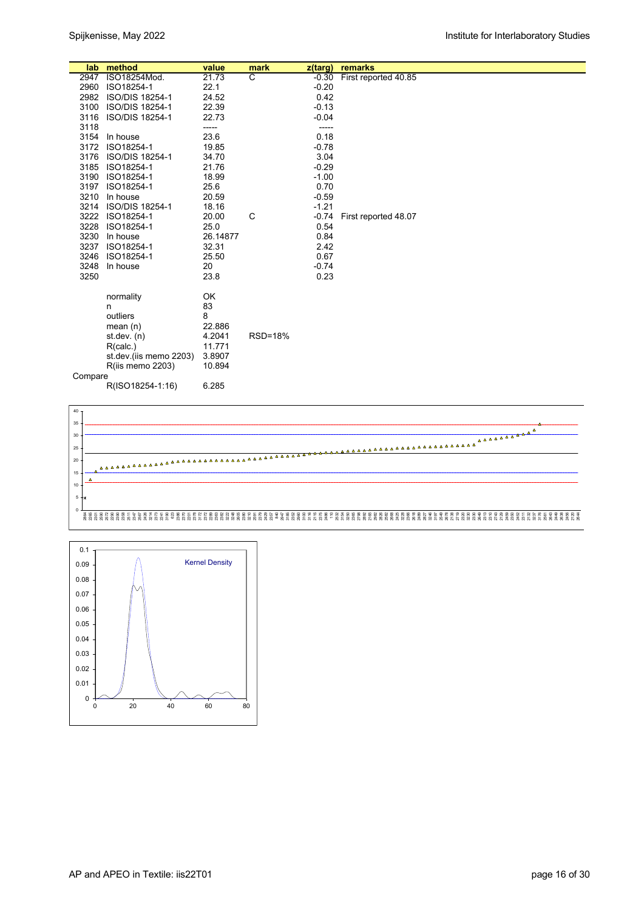| lab.    | method                 | value    | mark           | z(targ) | remarks                    |
|---------|------------------------|----------|----------------|---------|----------------------------|
| 2947    | ISO18254Mod.           | 21.73    | C              |         | -0.30 First reported 40.85 |
| 2960    | ISO18254-1             | 22.1     |                | $-0.20$ |                            |
| 2982    | ISO/DIS 18254-1        | 24.52    |                | 0.42    |                            |
| 3100    | ISO/DIS 18254-1        | 22.39    |                | $-0.13$ |                            |
| 3116    | ISO/DIS 18254-1        | 22.73    |                | $-0.04$ |                            |
| 3118    |                        | -----    |                | -----   |                            |
| 3154    | In house               | 23.6     |                | 0.18    |                            |
| 3172    | ISO18254-1             | 19.85    |                | $-0.78$ |                            |
| 3176    | ISO/DIS 18254-1        | 34.70    |                | 3.04    |                            |
| 3185    | ISO18254-1             | 21.76    |                | $-0.29$ |                            |
| 3190    | ISO18254-1             | 18.99    |                | $-1.00$ |                            |
| 3197    | ISO18254-1             | 25.6     |                | 0.70    |                            |
| 3210    | In house               | 20.59    |                | $-0.59$ |                            |
| 3214    | ISO/DIS 18254-1        | 18.16    |                | $-1.21$ |                            |
| 3222    | ISO18254-1             | 20.00    | C              | $-0.74$ | First reported 48.07       |
| 3228    | ISO18254-1             | 25.0     |                | 0.54    |                            |
| 3230    | In house               | 26.14877 |                | 0.84    |                            |
| 3237    | ISO18254-1             | 32.31    |                | 2.42    |                            |
| 3246    | ISO18254-1             | 25.50    |                | 0.67    |                            |
| 3248    | In house               | 20       |                | $-0.74$ |                            |
| 3250    |                        | 23.8     |                | 0.23    |                            |
|         |                        |          |                |         |                            |
|         | normality              | OK       |                |         |                            |
|         | n                      | 83       |                |         |                            |
|         | outliers               | 8        |                |         |                            |
|         | mean $(n)$             | 22.886   |                |         |                            |
|         | st.dev. $(n)$          | 4.2041   | <b>RSD=18%</b> |         |                            |
|         | R(calc.)               | 11.771   |                |         |                            |
|         | st.dev.(iis memo 2203) | 3.8907   |                |         |                            |
|         | R(iis memo 2203)       | 10.894   |                |         |                            |
| Compare |                        |          |                |         |                            |
|         | R(ISO18254-1:16)       | 6.285    |                |         |                            |



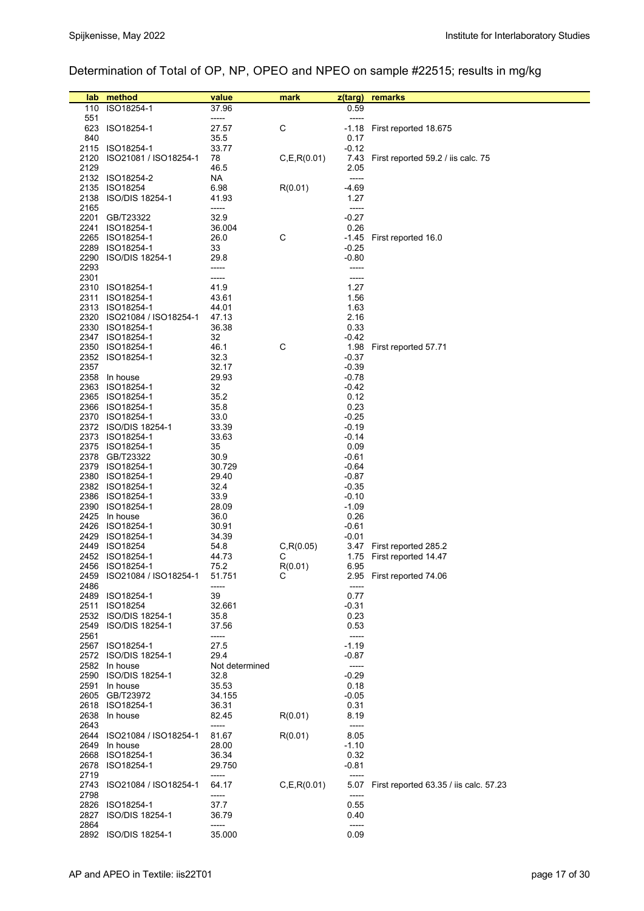# Determination of Total of OP, NP, OPEO and NPEO on sample #22515; results in mg/kg

|      | lab method                            | value          | mark            | z(targ)            | remarks                                                |
|------|---------------------------------------|----------------|-----------------|--------------------|--------------------------------------------------------|
|      | 110 ISO18254-1                        | 37.96          |                 | 0.59               |                                                        |
| 551  |                                       | -----          |                 | -----              |                                                        |
| 623  | ISO18254-1                            | 27.57          | C               |                    | -1.18 First reported 18.675                            |
| 840  |                                       | 35.5           |                 | 0.17               |                                                        |
| 2115 | ISO18254-1                            | 33.77          |                 | $-0.12$            |                                                        |
| 2120 | ISO21081 / ISO18254-1                 | 78             | C, E, R(0.01)   |                    | 7.43 First reported 59.2 / iis calc. 75                |
| 2129 |                                       | 46.5           |                 | 2.05               |                                                        |
|      | 2132 ISO18254-2                       | NA             |                 | -----              |                                                        |
|      | 2135 ISO18254                         | 6.98           | R(0.01)         | -4.69              |                                                        |
| 2165 | 2138 ISO/DIS 18254-1                  | 41.93          |                 | 1.27               |                                                        |
|      | 2201 GB/T23322                        | -----<br>32.9  |                 | -----<br>$-0.27$   |                                                        |
|      | 2241 ISO18254-1                       | 36.004         |                 | 0.26               |                                                        |
|      | 2265 ISO18254-1                       | 26.0           | C               |                    | -1.45 First reported 16.0                              |
|      | 2289 ISO18254-1                       | 33             |                 | $-0.25$            |                                                        |
|      | 2290 ISO/DIS 18254-1                  | 29.8           |                 | $-0.80$            |                                                        |
| 2293 |                                       | -----          |                 | -----              |                                                        |
| 2301 |                                       | -----          |                 | -----              |                                                        |
|      | 2310 ISO18254-1                       | 41.9           |                 | 1.27               |                                                        |
| 2311 | ISO18254-1                            | 43.61          |                 | 1.56               |                                                        |
|      | 2313 ISO18254-1                       | 44.01          |                 | 1.63               |                                                        |
|      | 2320 ISO21084 / ISO18254-1            | 47.13          |                 | 2.16               |                                                        |
|      | 2330 ISO18254-1<br>2347 ISO18254-1    | 36.38<br>32    |                 | 0.33<br>$-0.42$    |                                                        |
|      | 2350 ISO18254-1                       | 46.1           | C               | 1.98               | First reported 57.71                                   |
|      | 2352 ISO18254-1                       | 32.3           |                 | $-0.37$            |                                                        |
| 2357 |                                       | 32.17          |                 | $-0.39$            |                                                        |
|      | 2358 In house                         | 29.93          |                 | $-0.78$            |                                                        |
|      | 2363 ISO18254-1                       | 32             |                 | $-0.42$            |                                                        |
|      | 2365 ISO18254-1                       | 35.2           |                 | 0.12               |                                                        |
|      | 2366 ISO18254-1                       | 35.8           |                 | 0.23               |                                                        |
|      | 2370 ISO18254-1                       | 33.0           |                 | $-0.25$            |                                                        |
|      | 2372 ISO/DIS 18254-1                  | 33.39          |                 | $-0.19$            |                                                        |
|      | 2373 ISO18254-1                       | 33.63          |                 | $-0.14$            |                                                        |
|      | 2375 ISO18254-1<br>2378 GB/T23322     | 35<br>30.9     |                 | 0.09<br>$-0.61$    |                                                        |
|      | 2379 ISO18254-1                       | 30.729         |                 | $-0.64$            |                                                        |
|      | 2380 ISO18254-1                       | 29.40          |                 | $-0.87$            |                                                        |
|      | 2382 ISO18254-1                       | 32.4           |                 | $-0.35$            |                                                        |
|      | 2386 ISO18254-1                       | 33.9           |                 | $-0.10$            |                                                        |
|      | 2390 ISO18254-1                       | 28.09          |                 | $-1.09$            |                                                        |
|      | 2425 In house                         | 36.0           |                 | 0.26               |                                                        |
|      | 2426 ISO18254-1                       | 30.91          |                 | $-0.61$            |                                                        |
|      | 2429 ISO18254-1                       | 34.39          |                 | $-0.01$            |                                                        |
|      | 2449 ISO18254<br>2452 ISO18254-1      | 54.8<br>44.73  | C, R(0.05)<br>С |                    | 3.47 First reported 285.2<br>1.75 First reported 14.47 |
|      | 2456 ISO18254-1                       | 75.2           | R(0.01)         | 6.95               |                                                        |
| 2459 | ISO21084 / ISO18254-1                 | 51.751         | С               |                    | 2.95 First reported 74.06                              |
| 2486 |                                       | -----          |                 | ------             |                                                        |
| 2489 | ISO18254-1                            | 39             |                 | 0.77               |                                                        |
|      | 2511 ISO18254                         | 32.661         |                 | $-0.31$            |                                                        |
|      | 2532 ISO/DIS 18254-1                  | 35.8           |                 | 0.23               |                                                        |
|      | 2549 ISO/DIS 18254-1                  | 37.56          |                 | 0.53               |                                                        |
| 2561 |                                       | -----          |                 | -----              |                                                        |
|      | 2567 ISO18254-1                       | 27.5<br>29.4   |                 | $-1.19$<br>$-0.87$ |                                                        |
|      | 2572 ISO/DIS 18254-1<br>2582 In house | Not determined |                 | $-----$            |                                                        |
|      | 2590 ISO/DIS 18254-1                  | 32.8           |                 | $-0.29$            |                                                        |
|      | 2591 In house                         | 35.53          |                 | 0.18               |                                                        |
|      | 2605 GB/T23972                        | 34.155         |                 | $-0.05$            |                                                        |
|      | 2618 ISO18254-1                       | 36.31          |                 | 0.31               |                                                        |
|      | 2638 In house                         | 82.45          | R(0.01)         | 8.19               |                                                        |
| 2643 |                                       | -----          |                 | -----              |                                                        |
|      | 2644 ISO21084 / ISO18254-1            | 81.67          | R(0.01)         | 8.05               |                                                        |
| 2649 | In house                              | 28.00          |                 | $-1.10$            |                                                        |
|      | 2668 ISO18254-1                       | 36.34          |                 | 0.32               |                                                        |
|      | 2678 ISO18254-1                       | 29.750         |                 | $-0.81$            |                                                        |
| 2719 | 2743 ISO21084 / ISO18254-1            | -----<br>64.17 | C, E, R(0.01)   | -----              | 5.07 First reported 63.35 / iis calc. 57.23            |
| 2798 |                                       | -----          |                 | -----              |                                                        |
|      | 2826 ISO18254-1                       | 37.7           |                 | 0.55               |                                                        |
|      | 2827 ISO/DIS 18254-1                  | 36.79          |                 | 0.40               |                                                        |
| 2864 |                                       | -----          |                 | -----              |                                                        |
|      | 2892 ISO/DIS 18254-1                  | 35.000         |                 | 0.09               |                                                        |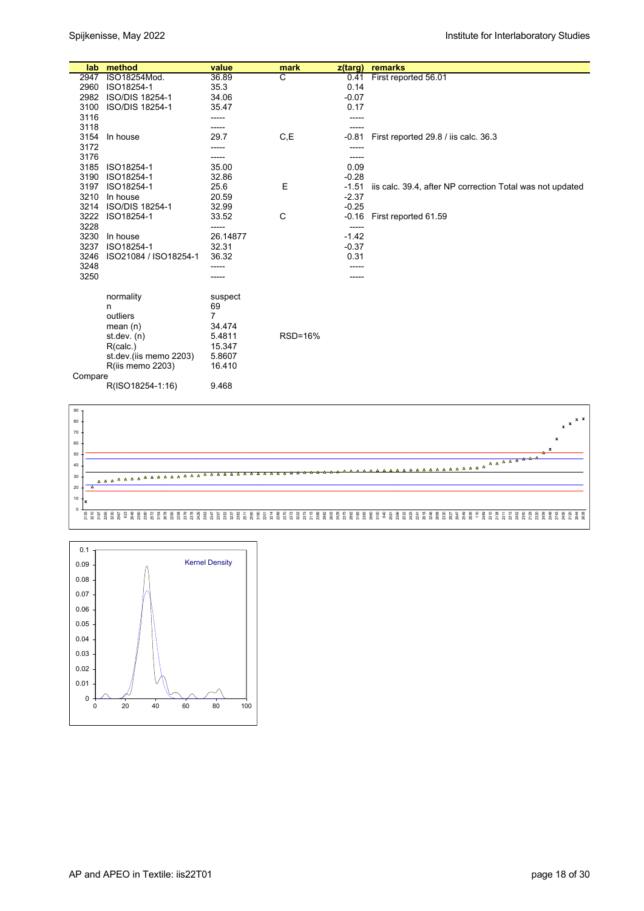| lab.    | method                 | value          | mark    | z(targ) | remarks                                                   |
|---------|------------------------|----------------|---------|---------|-----------------------------------------------------------|
| 2947    | ISO18254Mod.           | 36.89          | C       | 0.41    | First reported 56.01                                      |
| 2960    | ISO18254-1             | 35.3           |         | 0.14    |                                                           |
| 2982    | ISO/DIS 18254-1        | 34.06          |         | $-0.07$ |                                                           |
| 3100    | ISO/DIS 18254-1        | 35.47          |         | 0.17    |                                                           |
| 3116    |                        | -----          |         | -----   |                                                           |
| 3118    |                        |                |         |         |                                                           |
| 3154    | In house               | 29.7           | C, E    | $-0.81$ | First reported 29.8 / iis calc. 36.3                      |
| 3172    |                        |                |         |         |                                                           |
| 3176    |                        | -----          |         | -----   |                                                           |
| 3185    | ISO18254-1             | 35.00          |         | 0.09    |                                                           |
| 3190    | ISO18254-1             | 32.86          |         | $-0.28$ |                                                           |
| 3197    | ISO18254-1             | 25.6           | E       | $-1.51$ | iis calc. 39.4, after NP correction Total was not updated |
| 3210    | In house               | 20.59          |         | $-2.37$ |                                                           |
| 3214    | ISO/DIS 18254-1        | 32.99          |         | $-0.25$ |                                                           |
| 3222    | ISO18254-1             | 33.52          | C       | -0.16   | First reported 61.59                                      |
| 3228    |                        | -----          |         | -----   |                                                           |
| 3230    | In house               | 26.14877       |         | $-1.42$ |                                                           |
| 3237    | ISO18254-1             | 32.31          |         | $-0.37$ |                                                           |
| 3246    | ISO21084 / ISO18254-1  | 36.32          |         | 0.31    |                                                           |
| 3248    |                        | -----          |         | -----   |                                                           |
| 3250    |                        |                |         |         |                                                           |
|         | normality              | suspect        |         |         |                                                           |
|         | n                      | 69             |         |         |                                                           |
|         | outliers               | $\overline{7}$ |         |         |                                                           |
|         | mean $(n)$             | 34.474         |         |         |                                                           |
|         | st.dev. $(n)$          | 5.4811         | RSD=16% |         |                                                           |
|         | R(calc.)               | 15.347         |         |         |                                                           |
|         | st.dev.(iis memo 2203) | 5.8607         |         |         |                                                           |
|         | R(iis memo 2203)       | 16.410         |         |         |                                                           |
| Compare |                        |                |         |         |                                                           |
|         | R(ISO18254-1:16)       | 9.468          |         |         |                                                           |



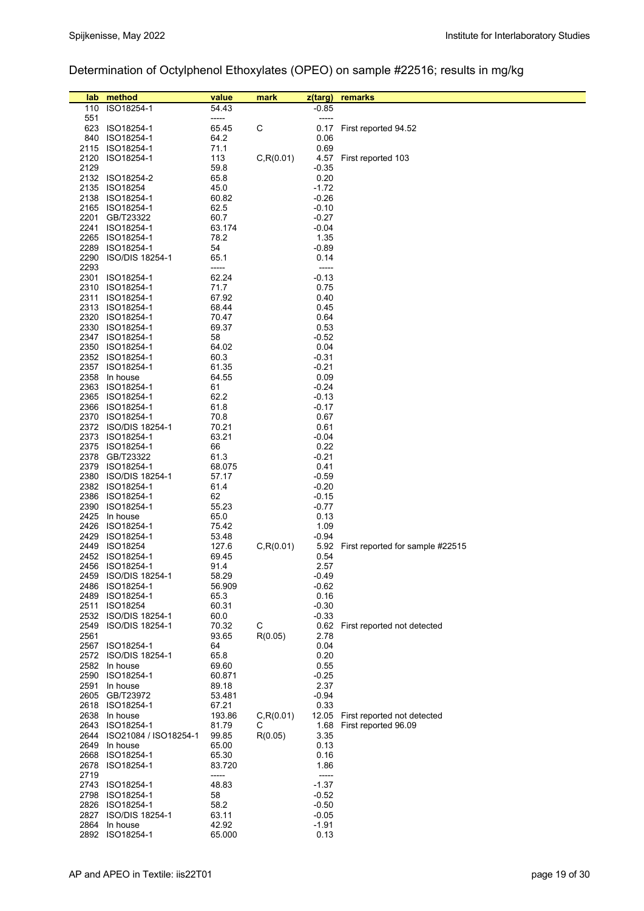# Determination of Octylphenol Ethoxylates (OPEO) on sample #22516; results in mg/kg

| lab  | method                                       | value           | mark       | $z$ (targ)         | remarks                               |
|------|----------------------------------------------|-----------------|------------|--------------------|---------------------------------------|
| 110  | ISO18254-1                                   | 54.43           |            | $-0.85$            |                                       |
| 551  |                                              | -----           |            | -----              |                                       |
|      | 623 ISO18254-1                               | 65.45           | C          |                    | 0.17 First reported 94.52             |
|      | 840 ISO18254-1                               | 64.2            |            | 0.06               |                                       |
|      | 2115 ISO18254-1                              | 71.1            |            | 0.69               |                                       |
| 2129 | 2120 ISO18254-1                              | 113             | C, R(0.01) | $-0.35$            | 4.57 First reported 103               |
|      | 2132 ISO18254-2                              | 59.8<br>65.8    |            | 0.20               |                                       |
|      | 2135 ISO18254                                | 45.0            |            | $-1.72$            |                                       |
|      | 2138 ISO18254-1                              | 60.82           |            | $-0.26$            |                                       |
|      | 2165 ISO18254-1                              | 62.5            |            | $-0.10$            |                                       |
|      | 2201 GB/T23322                               | 60.7            |            | $-0.27$            |                                       |
|      | 2241 ISO18254-1                              | 63.174          |            | $-0.04$            |                                       |
|      | 2265 ISO18254-1                              | 78.2            |            | 1.35               |                                       |
|      | 2289 ISO18254-1<br>2290 ISO/DIS 18254-1      | 54<br>65.1      |            | $-0.89$<br>0.14    |                                       |
| 2293 |                                              | -----           |            | -----              |                                       |
|      | 2301 ISO18254-1                              | 62.24           |            | $-0.13$            |                                       |
|      | 2310 ISO18254-1                              | 71.7            |            | 0.75               |                                       |
|      | 2311 ISO18254-1                              | 67.92           |            | 0.40               |                                       |
|      | 2313 ISO18254-1                              | 68.44           |            | 0.45               |                                       |
|      | 2320 ISO18254-1                              | 70.47           |            | 0.64               |                                       |
|      | 2330 ISO18254-1                              | 69.37           |            | 0.53               |                                       |
|      | 2347 ISO18254-1<br>2350 ISO18254-1           | 58<br>64.02     |            | $-0.52$            |                                       |
|      | 2352 ISO18254-1                              | 60.3            |            | 0.04<br>$-0.31$    |                                       |
|      | 2357 ISO18254-1                              | 61.35           |            | $-0.21$            |                                       |
|      | 2358 In house                                | 64.55           |            | 0.09               |                                       |
|      | 2363 ISO18254-1                              | 61              |            | $-0.24$            |                                       |
|      | 2365 ISO18254-1                              | 62.2            |            | $-0.13$            |                                       |
|      | 2366 ISO18254-1                              | 61.8            |            | $-0.17$            |                                       |
|      | 2370 ISO18254-1                              | 70.8            |            | 0.67               |                                       |
|      | 2372 ISO/DIS 18254-1                         | 70.21           |            | 0.61               |                                       |
|      | 2373 ISO18254-1<br>2375 ISO18254-1           | 63.21<br>66     |            | $-0.04$<br>0.22    |                                       |
|      | 2378 GB/T23322                               | 61.3            |            | $-0.21$            |                                       |
|      | 2379 ISO18254-1                              | 68.075          |            | 0.41               |                                       |
|      | 2380 ISO/DIS 18254-1                         | 57.17           |            | $-0.59$            |                                       |
|      | 2382 ISO18254-1                              | 61.4            |            | $-0.20$            |                                       |
|      | 2386 ISO18254-1                              | 62              |            | $-0.15$            |                                       |
|      | 2390 ISO18254-1                              | 55.23           |            | $-0.77$            |                                       |
|      | 2425 In house                                | 65.0            |            | 0.13               |                                       |
|      | 2426 ISO18254-1<br>2429 ISO18254-1           | 75.42<br>53.48  |            | 1.09<br>$-0.94$    |                                       |
|      | 2449 ISO18254                                | 127.6           | C, R(0.01) |                    | 5.92 First reported for sample #22515 |
|      | 2452 ISO18254-1                              | 69.45           |            | 0.54               |                                       |
|      | 2456 ISO18254-1                              | 91.4            |            | 2.57               |                                       |
| 2459 | <b>ISO/DIS 18254-1</b>                       | 58.29           |            | $-0.49$            |                                       |
| 2486 | ISO18254-1                                   | 56.909          |            | $-0.62$            |                                       |
|      | 2489 ISO18254-1                              | 65.3            |            | 0.16               |                                       |
|      | 2511 ISO18254                                | 60.31           |            | $-0.30$<br>$-0.33$ |                                       |
|      | 2532 ISO/DIS 18254-1<br>2549 ISO/DIS 18254-1 | 60.0<br>70.32   | С          | 0.62               | First reported not detected           |
| 2561 |                                              | 93.65           | R(0.05)    | 2.78               |                                       |
|      | 2567 ISO18254-1                              | 64              |            | 0.04               |                                       |
|      | 2572 ISO/DIS 18254-1                         | 65.8            |            | 0.20               |                                       |
|      | 2582 In house                                | 69.60           |            | 0.55               |                                       |
|      | 2590 ISO18254-1                              | 60.871          |            | $-0.25$            |                                       |
|      | 2591 In house                                | 89.18           |            | 2.37               |                                       |
|      | 2605 GB/T23972<br>2618 ISO18254-1            | 53.481<br>67.21 |            | $-0.94$<br>0.33    |                                       |
|      | 2638 In house                                | 193.86          | C, R(0.01) | 12.05              | First reported not detected           |
|      | 2643 ISO18254-1                              | 81.79           | С          | 1.68               | First reported 96.09                  |
|      | 2644 ISO21084 / ISO18254-1                   | 99.85           | R(0.05)    | 3.35               |                                       |
|      | 2649 In house                                | 65.00           |            | 0.13               |                                       |
| 2668 | ISO18254-1                                   | 65.30           |            | 0.16               |                                       |
| 2678 | ISO18254-1                                   | 83.720          |            | 1.86               |                                       |
| 2719 |                                              | -----           |            | -----              |                                       |
|      | 2743 ISO18254-1<br>2798 ISO18254-1           | 48.83<br>58     |            | $-1.37$<br>$-0.52$ |                                       |
|      | 2826 ISO18254-1                              | 58.2            |            | $-0.50$            |                                       |
|      | 2827 ISO/DIS 18254-1                         | 63.11           |            | $-0.05$            |                                       |
|      | 2864 In house                                | 42.92           |            | $-1.91$            |                                       |
|      | 2892 ISO18254-1                              | 65.000          |            | 0.13               |                                       |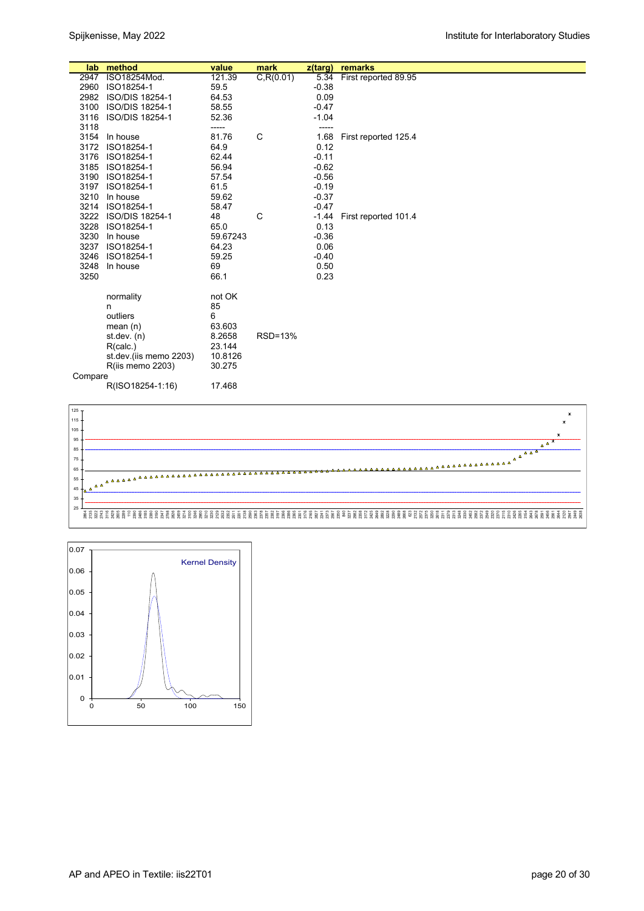|              | lab method<br>ISO18254Mod. | value<br>121.39 | mark       | z(targ) | remarks                   |
|--------------|----------------------------|-----------------|------------|---------|---------------------------|
| 2947<br>2960 | ISO18254-1                 |                 | C, R(0.01) | $-0.38$ | 5.34 First reported 89.95 |
|              |                            | 59.5            |            |         |                           |
| 2982         | ISO/DIS 18254-1            | 64.53           |            | 0.09    |                           |
| 3100         | <b>ISO/DIS 18254-1</b>     | 58.55           |            | $-0.47$ |                           |
| 3116         | ISO/DIS 18254-1            | 52.36           |            | $-1.04$ |                           |
| 3118         |                            | -----           |            | -----   |                           |
| 3154         | In house                   | 81.76           | C          | 1.68    | First reported 125.4      |
| 3172         | ISO18254-1                 | 64.9            |            | 0.12    |                           |
| 3176         | ISO18254-1                 | 62.44           |            | $-0.11$ |                           |
| 3185         | ISO18254-1                 | 56.94           |            | $-0.62$ |                           |
| 3190         | ISO18254-1                 | 57.54           |            | $-0.56$ |                           |
| 3197         | ISO18254-1                 | 61.5            |            | $-0.19$ |                           |
| 3210         | In house                   | 59.62           |            | $-0.37$ |                           |
| 3214         | ISO18254-1                 | 58.47           |            | $-0.47$ |                           |
|              | 3222 ISO/DIS 18254-1       | 48              | C          | $-1.44$ | First reported 101.4      |
| 3228         | ISO18254-1                 | 65.0            |            | 0.13    |                           |
| 3230         | In house                   | 59.67243        |            | $-0.36$ |                           |
| 3237         | ISO18254-1                 | 64.23           |            | 0.06    |                           |
| 3246         | ISO18254-1                 | 59.25           |            | $-0.40$ |                           |
| 3248         | In house                   | 69              |            | 0.50    |                           |
| 3250         |                            | 66.1            |            | 0.23    |                           |
|              |                            |                 |            |         |                           |
|              | normality                  | not OK          |            |         |                           |
|              | n                          | 85              |            |         |                           |
|              | outliers                   | 6               |            |         |                           |
|              | mean $(n)$                 | 63.603          |            |         |                           |
|              | st. dev. (n)               | 8.2658          | RSD=13%    |         |                           |
|              | R(calc.)                   | 23.144          |            |         |                           |
|              | st.dev.(iis memo 2203)     | 10.8126         |            |         |                           |
|              | R(iis memo 2203)           | 30.275          |            |         |                           |
| Compare      |                            |                 |            |         |                           |
|              | R(ISO18254-1:16)           | 17.468          |            |         |                           |



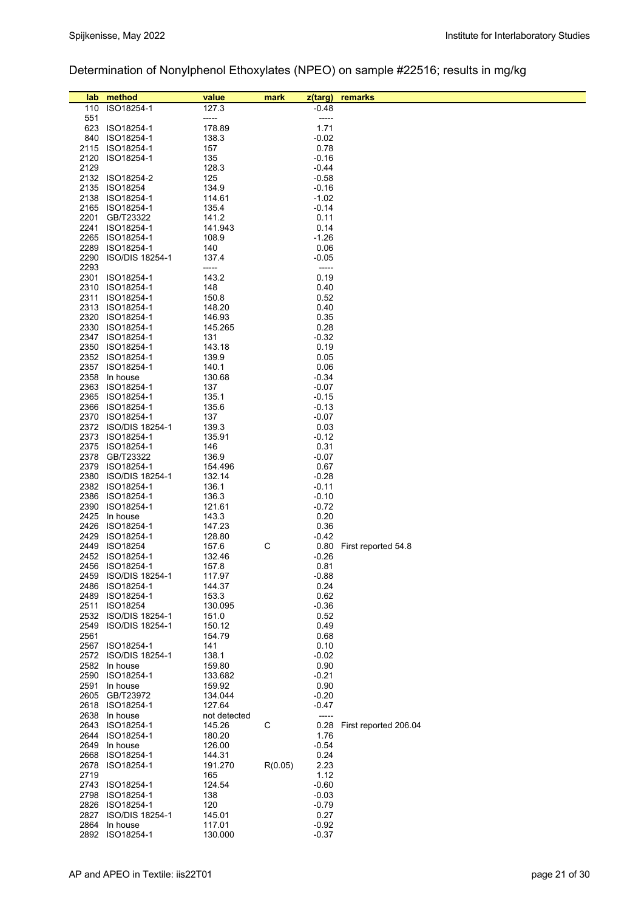# Determination of Nonylphenol Ethoxylates (NPEO) on sample #22516; results in mg/kg

| lab          | method                                  | value             | mark    | z(targ)            | remarks               |
|--------------|-----------------------------------------|-------------------|---------|--------------------|-----------------------|
| 110          | ISO18254-1                              | 127.3             |         | $-0.48$            |                       |
| 551          |                                         | -----             |         | -----              |                       |
|              | 623 ISO18254-1                          | 178.89            |         | 1.71               |                       |
|              | 840 ISO18254-1                          | 138.3             |         | $-0.02$            |                       |
|              | 2115 ISO18254-1                         | 157               |         | 0.78               |                       |
| 2120<br>2129 | ISO18254-1                              | 135<br>128.3      |         | $-0.16$<br>$-0.44$ |                       |
|              | 2132 ISO18254-2                         | 125               |         | $-0.58$            |                       |
|              | 2135 ISO18254                           | 134.9             |         | $-0.16$            |                       |
|              | 2138 ISO18254-1                         | 114.61            |         | -1.02              |                       |
|              | 2165 ISO18254-1                         | 135.4             |         | $-0.14$            |                       |
| 2201         | GB/T23322                               | 141.2             |         | 0.11               |                       |
|              | 2241 ISO18254-1                         | 141.943           |         | 0.14               |                       |
|              | 2265 ISO18254-1                         | 108.9             |         | $-1.26$            |                       |
|              | 2289 ISO18254-1<br>2290 ISO/DIS 18254-1 | 140<br>137.4      |         | 0.06<br>$-0.05$    |                       |
| 2293         |                                         | -----             |         | -----              |                       |
|              | 2301 ISO18254-1                         | 143.2             |         | 0.19               |                       |
|              | 2310 ISO18254-1                         | 148               |         | 0.40               |                       |
|              | 2311 ISO18254-1                         | 150.8             |         | 0.52               |                       |
|              | 2313 ISO18254-1                         | 148.20            |         | 0.40               |                       |
|              | 2320 ISO18254-1                         | 146.93            |         | 0.35               |                       |
|              | 2330 ISO18254-1                         | 145.265           |         | 0.28               |                       |
|              | 2347 ISO18254-1<br>2350 ISO18254-1      | 131<br>143.18     |         | $-0.32$<br>0.19    |                       |
|              | 2352 ISO18254-1                         | 139.9             |         | 0.05               |                       |
|              | 2357 ISO18254-1                         | 140.1             |         | 0.06               |                       |
|              | 2358 In house                           | 130.68            |         | $-0.34$            |                       |
|              | 2363 ISO18254-1                         | 137               |         | $-0.07$            |                       |
|              | 2365 ISO18254-1                         | 135.1             |         | $-0.15$            |                       |
|              | 2366 ISO18254-1                         | 135.6             |         | $-0.13$            |                       |
|              | 2370 ISO18254-1                         | 137               |         | $-0.07$            |                       |
|              | 2372 ISO/DIS 18254-1<br>2373 ISO18254-1 | 139.3<br>135.91   |         | 0.03<br>$-0.12$    |                       |
|              | 2375 ISO18254-1                         | 146               |         | 0.31               |                       |
|              | 2378 GB/T23322                          | 136.9             |         | $-0.07$            |                       |
|              | 2379 ISO18254-1                         | 154.496           |         | 0.67               |                       |
|              | 2380 ISO/DIS 18254-1                    | 132.14            |         | $-0.28$            |                       |
|              | 2382 ISO18254-1                         | 136.1             |         | $-0.11$            |                       |
|              | 2386 ISO18254-1                         | 136.3             |         | $-0.10$            |                       |
|              | 2390 ISO18254-1                         | 121.61            |         | $-0.72$            |                       |
|              | 2425 In house<br>2426 ISO18254-1        | 143.3<br>147.23   |         | 0.20<br>0.36       |                       |
|              | 2429 ISO18254-1                         | 128.80            |         | $-0.42$            |                       |
|              | 2449 ISO18254                           | 157.6             | С       | 0.80               | First reported 54.8   |
|              | 2452 ISO18254-1                         | 132.46            |         | $-0.26$            |                       |
|              | 2456 ISO18254-1                         | 157.8             |         | 0.81               |                       |
|              | 2459 ISO/DIS 18254-1                    | 117.97            |         | $-0.88$            |                       |
|              | 2486 ISO18254-1                         | 144.37            |         | 0.24               |                       |
| 2489<br>2511 | ISO18254-1<br>ISO18254                  | 153.3<br>130.095  |         | 0.62<br>$-0.36$    |                       |
|              | 2532 ISO/DIS 18254-1                    | 151.0             |         | 0.52               |                       |
|              | 2549 ISO/DIS 18254-1                    | 150.12            |         | 0.49               |                       |
| 2561         |                                         | 154.79            |         | 0.68               |                       |
|              | 2567 ISO18254-1                         | 141               |         | 0.10               |                       |
| 2572         | <b>ISO/DIS 18254-1</b>                  | 138.1             |         | $-0.02$            |                       |
|              | 2582 In house                           | 159.80            |         | 0.90               |                       |
| 2591         | 2590 ISO18254-1<br>In house             | 133.682<br>159.92 |         | $-0.21$<br>0.90    |                       |
|              | 2605 GB/T23972                          | 134.044           |         | $-0.20$            |                       |
|              | 2618 ISO18254-1                         | 127.64            |         | -0.47              |                       |
|              | 2638 In house                           | not detected      |         | -----              |                       |
|              | 2643 ISO18254-1                         | 145.26            | C       | 0.28               | First reported 206.04 |
|              | 2644 ISO18254-1                         | 180.20            |         | 1.76               |                       |
|              | 2649 In house                           | 126.00            |         | $-0.54$            |                       |
| 2668         | ISO18254-1                              | 144.31            |         | 0.24               |                       |
| 2678<br>2719 | ISO18254-1                              | 191.270<br>165    | R(0.05) | 2.23<br>1.12       |                       |
|              | 2743 ISO18254-1                         | 124.54            |         | $-0.60$            |                       |
|              | 2798 ISO18254-1                         | 138               |         | $-0.03$            |                       |
| 2826         | ISO18254-1                              | 120               |         | $-0.79$            |                       |
|              | 2827 ISO/DIS 18254-1                    | 145.01            |         | 0.27               |                       |
|              | 2864 In house                           | 117.01            |         | $-0.92$            |                       |
|              | 2892 ISO18254-1                         | 130.000           |         | $-0.37$            |                       |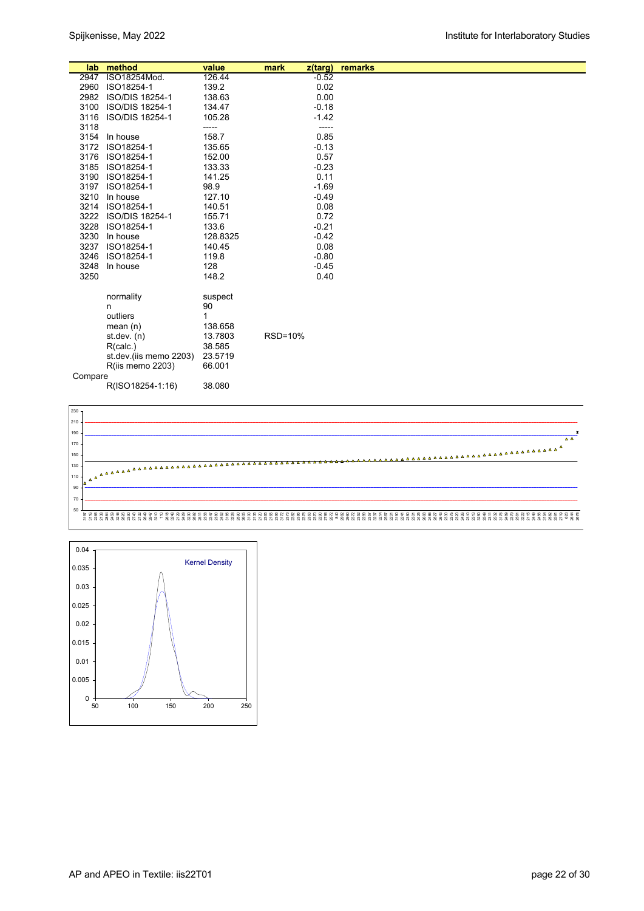| lab.              | method                 | value    | mark    | z(targ) | remarks |
|-------------------|------------------------|----------|---------|---------|---------|
| $29\overline{47}$ | ISO18254Mod.           | 126.44   |         | $-0.52$ |         |
| 2960              | ISO18254-1             | 139.2    |         | 0.02    |         |
| 2982              | ISO/DIS 18254-1        | 138.63   |         | 0.00    |         |
| 3100              | ISO/DIS 18254-1        | 134.47   |         | $-0.18$ |         |
| 3116              | ISO/DIS 18254-1        | 105.28   |         | $-1.42$ |         |
| 3118              |                        | -----    |         | -----   |         |
| 3154              | In house               | 158.7    |         | 0.85    |         |
| 3172              | ISO18254-1             | 135.65   |         | $-0.13$ |         |
| 3176              | ISO18254-1             | 152.00   |         | 0.57    |         |
| 3185              | ISO18254-1             | 133.33   |         | $-0.23$ |         |
| 3190              | ISO18254-1             | 141.25   |         | 0.11    |         |
| 3197              | ISO18254-1             | 98.9     |         | $-1.69$ |         |
| 3210              | In house               | 127.10   |         | $-0.49$ |         |
| 3214              | ISO18254-1             | 140.51   |         | 0.08    |         |
| 3222              | ISO/DIS 18254-1        | 155.71   |         | 0.72    |         |
| 3228              | ISO18254-1             | 133.6    |         | $-0.21$ |         |
| 3230              | In house               | 128.8325 |         | $-0.42$ |         |
| 3237              | ISO18254-1             | 140.45   |         | 0.08    |         |
| 3246              | ISO18254-1             | 119.8    |         | $-0.80$ |         |
| 3248              | In house               | 128      |         | $-0.45$ |         |
| 3250              |                        | 148.2    |         | 0.40    |         |
|                   | normality              | suspect  |         |         |         |
|                   | n                      | 90       |         |         |         |
|                   | outliers               | 1        |         |         |         |
|                   | mean $(n)$             | 138.658  |         |         |         |
|                   | st.dev. $(n)$          | 13.7803  | RSD=10% |         |         |
|                   | R(calc.)               | 38.585   |         |         |         |
|                   | st.dev.(iis memo 2203) | 23.5719  |         |         |         |
|                   | R(iis memo 2203)       | 66.001   |         |         |         |
| Compare           |                        |          |         |         |         |
|                   | R(ISO18254-1:16)       | 38.080   |         |         |         |
|                   |                        |          |         |         |         |



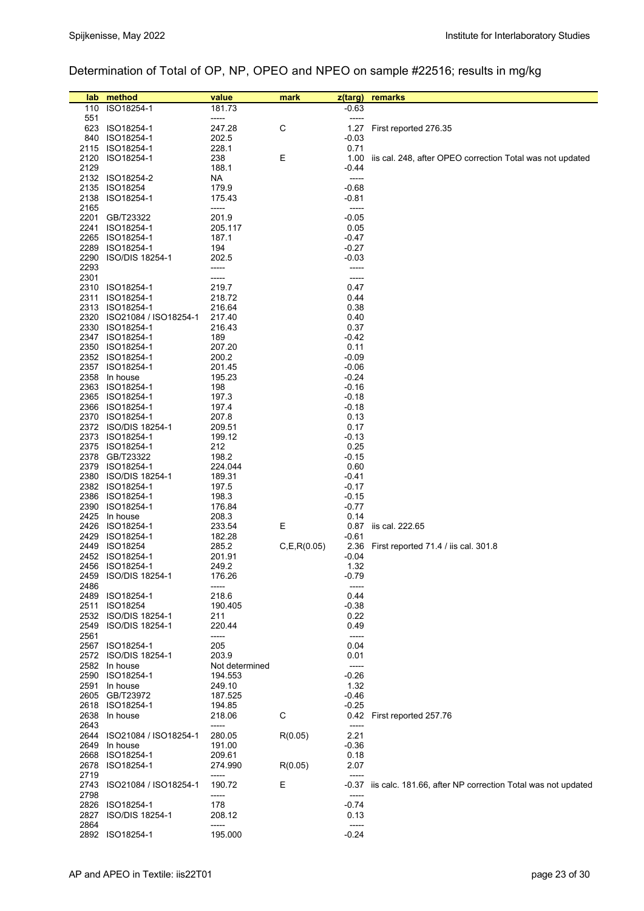# Determination of Total of OP, NP, OPEO and NPEO on sample #22516; results in mg/kg

| lab          | method                             | value            | mark          | $z$ (targ)         | remarks                                                           |
|--------------|------------------------------------|------------------|---------------|--------------------|-------------------------------------------------------------------|
| 110          | ISO18254-1                         | 181.73           |               | -0.63              |                                                                   |
| 551          |                                    | -----            |               | -----              |                                                                   |
|              | 623 ISO18254-1                     | 247.28           | C             | 1.27               | First reported 276.35                                             |
| 840          | ISO18254-1                         | 202.5            |               | -0.03              |                                                                   |
|              | 2115 ISO18254-1                    | 228.1            |               | 0.71               |                                                                   |
| 2120         | ISO18254-1                         | 238              | Ε             | 1.00               | iis cal. 248, after OPEO correction Total was not updated         |
| 2129         |                                    | 188.1            |               | -0.44              |                                                                   |
|              | 2132 ISO18254-2                    | NA               |               | -----              |                                                                   |
| 2135         | ISO18254                           | 179.9            |               | $-0.68$            |                                                                   |
| 2138         | ISO18254-1                         | 175.43           |               | $-0.81$            |                                                                   |
| 2165<br>2201 | GB/T23322                          | -----<br>201.9   |               | -----<br>$-0.05$   |                                                                   |
| 2241         | ISO18254-1                         | 205.117          |               | 0.05               |                                                                   |
|              | 2265 ISO18254-1                    | 187.1            |               | -0.47              |                                                                   |
|              | 2289 ISO18254-1                    | 194              |               | $-0.27$            |                                                                   |
|              | 2290 ISO/DIS 18254-1               | 202.5            |               | -0.03              |                                                                   |
| 2293         |                                    | -----            |               | -----              |                                                                   |
| 2301         |                                    | -----            |               | -----              |                                                                   |
|              | 2310 ISO18254-1                    | 219.7            |               | 0.47               |                                                                   |
|              | 2311 ISO18254-1                    | 218.72           |               | 0.44               |                                                                   |
|              | 2313 ISO18254-1                    | 216.64           |               | 0.38               |                                                                   |
|              | 2320 ISO21084 / ISO18254-1         | 217.40           |               | 0.40               |                                                                   |
|              | 2330 ISO18254-1                    | 216.43           |               | 0.37               |                                                                   |
|              | 2347 ISO18254-1                    | 189              |               | -0.42              |                                                                   |
|              | 2350 ISO18254-1<br>2352 ISO18254-1 | 207.20<br>200.2  |               | 0.11<br>$-0.09$    |                                                                   |
|              | 2357 ISO18254-1                    | 201.45           |               | $-0.06$            |                                                                   |
|              | 2358 In house                      | 195.23           |               | $-0.24$            |                                                                   |
|              | 2363 ISO18254-1                    | 198              |               | $-0.16$            |                                                                   |
|              | 2365 ISO18254-1                    | 197.3            |               | $-0.18$            |                                                                   |
|              | 2366 ISO18254-1                    | 197.4            |               | $-0.18$            |                                                                   |
|              | 2370 ISO18254-1                    | 207.8            |               | 0.13               |                                                                   |
|              | 2372 ISO/DIS 18254-1               | 209.51           |               | 0.17               |                                                                   |
|              | 2373 ISO18254-1                    | 199.12           |               | $-0.13$            |                                                                   |
|              | 2375 ISO18254-1                    | 212              |               | 0.25               |                                                                   |
|              | 2378 GB/T23322                     | 198.2            |               | $-0.15$            |                                                                   |
|              | 2379 ISO18254-1                    | 224.044          |               | 0.60               |                                                                   |
|              | 2380 ISO/DIS 18254-1               | 189.31           |               | -0.41              |                                                                   |
|              | 2382 ISO18254-1<br>2386 ISO18254-1 | 197.5            |               | -0.17              |                                                                   |
|              | 2390 ISO18254-1                    | 198.3<br>176.84  |               | $-0.15$<br>$-0.77$ |                                                                   |
|              | 2425 In house                      | 208.3            |               | 0.14               |                                                                   |
|              | 2426 ISO18254-1                    | 233.54           | Ε             | 0.87               | iis cal. 222.65                                                   |
|              | 2429 ISO18254-1                    | 182.28           |               | $-0.61$            |                                                                   |
| 2449         | ISO18254                           | 285.2            | C, E, R(0.05) | 2.36               | First reported 71.4 / iis cal. 301.8                              |
| 2452         | ISO18254-1                         | 201.91           |               | $-0.04$            |                                                                   |
|              | 2456 ISO18254-1                    | 249.2            |               | 1.32               |                                                                   |
| 2459         | ISO/DIS 18254-1                    | 176.26           |               | $-0.79$            |                                                                   |
| 2486         |                                    | -----            |               | -----              |                                                                   |
|              | 2489 ISO18254-1                    | 218.6            |               | 0.44               |                                                                   |
| 2511         | ISO18254<br>2532 ISO/DIS 18254-1   | 190.405<br>211   |               | $-0.38$<br>0.22    |                                                                   |
| 2549         | <b>ISO/DIS 18254-1</b>             | 220.44           |               | 0.49               |                                                                   |
| 2561         |                                    | -----            |               | -----              |                                                                   |
|              | 2567 ISO18254-1                    | 205              |               | 0.04               |                                                                   |
| 2572         | ISO/DIS 18254-1                    | 203.9            |               | 0.01               |                                                                   |
|              | 2582 In house                      | Not determined   |               | -----              |                                                                   |
|              | 2590 ISO18254-1                    | 194.553          |               | $-0.26$            |                                                                   |
|              | 2591 In house                      | 249.10           |               | 1.32               |                                                                   |
|              | 2605 GB/T23972                     | 187.525          |               | -0.46              |                                                                   |
|              | 2618 ISO18254-1                    | 194.85           |               | -0.25              |                                                                   |
|              | 2638 In house                      | 218.06           | C             |                    | 0.42 First reported 257.76                                        |
| 2643         |                                    | -----            |               | -----              |                                                                   |
| 2644<br>2649 | ISO21084 / ISO18254-1<br>In house  | 280.05<br>191.00 | R(0.05)       | 2.21<br>$-0.36$    |                                                                   |
|              | 2668 ISO18254-1                    | 209.61           |               | 0.18               |                                                                   |
| 2678         | ISO18254-1                         | 274.990          | R(0.05)       | 2.07               |                                                                   |
| 2719         |                                    | -----            |               | -----              |                                                                   |
| 2743         | ISO21084 / ISO18254-1              | 190.72           | Е             |                    | -0.37 iis calc. 181.66, after NP correction Total was not updated |
| 2798         |                                    | -----            |               | -----              |                                                                   |
| 2826         | ISO18254-1                         | 178              |               | $-0.74$            |                                                                   |
| 2827         | ISO/DIS 18254-1                    | 208.12           |               | 0.13               |                                                                   |
| 2864         |                                    | -----            |               | -----              |                                                                   |
|              | 2892 ISO18254-1                    | 195.000          |               | $-0.24$            |                                                                   |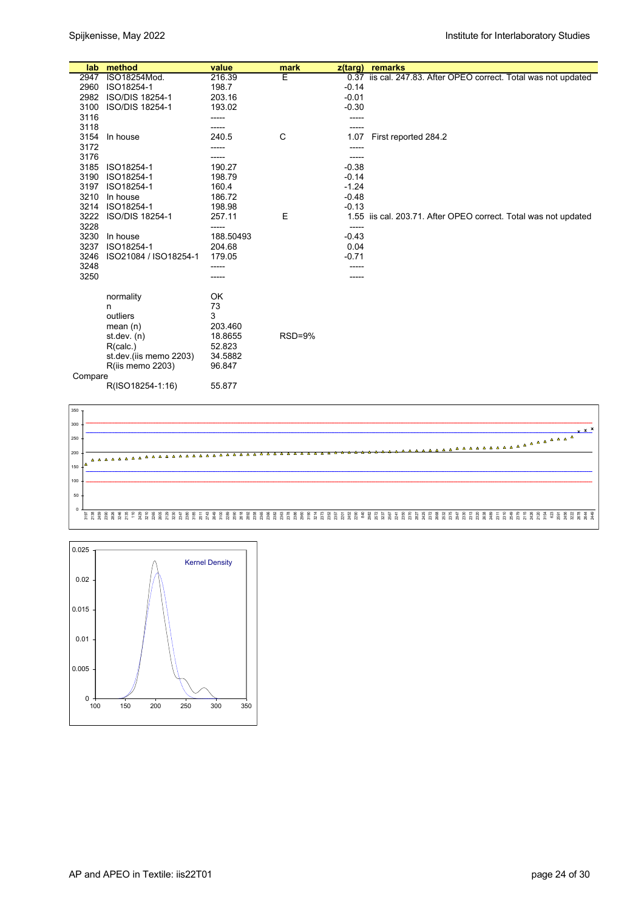| lab.    | method                 | value     | mark          | z(targ) | remarks                                                         |
|---------|------------------------|-----------|---------------|---------|-----------------------------------------------------------------|
| 2947    | ISO18254Mod.           | 216.39    | Ε             |         | 0.37 iis cal. 247.83. After OPEO correct. Total was not updated |
| 2960    | ISO18254-1             | 198.7     |               | $-0.14$ |                                                                 |
| 2982    | ISO/DIS 18254-1        | 203.16    |               | $-0.01$ |                                                                 |
| 3100    | ISO/DIS 18254-1        | 193.02    |               | $-0.30$ |                                                                 |
| 3116    |                        | -----     |               | -----   |                                                                 |
| 3118    |                        |           |               |         |                                                                 |
|         | 3154 In house          | 240.5     | C             | 1.07    | First reported 284.2                                            |
| 3172    |                        |           |               | -----   |                                                                 |
| 3176    |                        | -----     |               | -----   |                                                                 |
| 3185    | ISO18254-1             | 190.27    |               | $-0.38$ |                                                                 |
| 3190    | ISO18254-1             | 198.79    |               | $-0.14$ |                                                                 |
| 3197    | ISO18254-1             | 160.4     |               | $-1.24$ |                                                                 |
| 3210    | In house               | 186.72    |               | $-0.48$ |                                                                 |
| 3214    | ISO18254-1             | 198.98    |               | $-0.13$ |                                                                 |
| 3222    | ISO/DIS 18254-1        | 257.11    | Ε             |         | 1.55 iis cal. 203.71. After OPEO correct. Total was not updated |
| 3228    |                        | -----     |               | -----   |                                                                 |
| 3230    | In house               | 188.50493 |               | $-0.43$ |                                                                 |
| 3237    | ISO18254-1             | 204.68    |               | 0.04    |                                                                 |
| 3246    | ISO21084 / ISO18254-1  | 179.05    |               | $-0.71$ |                                                                 |
| 3248    |                        | -----     |               |         |                                                                 |
| 3250    |                        |           |               |         |                                                                 |
|         |                        |           |               |         |                                                                 |
|         | normality              | OK        |               |         |                                                                 |
|         | n                      | 73        |               |         |                                                                 |
|         | outliers               | 3         |               |         |                                                                 |
|         | mean $(n)$             | 203.460   |               |         |                                                                 |
|         | st.dev. $(n)$          | 18.8655   | <b>RSD=9%</b> |         |                                                                 |
|         | R(calc.)               | 52.823    |               |         |                                                                 |
|         | st.dev.(iis memo 2203) | 34.5882   |               |         |                                                                 |
|         | R(iis memo 2203)       | 96.847    |               |         |                                                                 |
| Compare |                        |           |               |         |                                                                 |
|         | R(ISO18254-1:16)       | 55.877    |               |         |                                                                 |



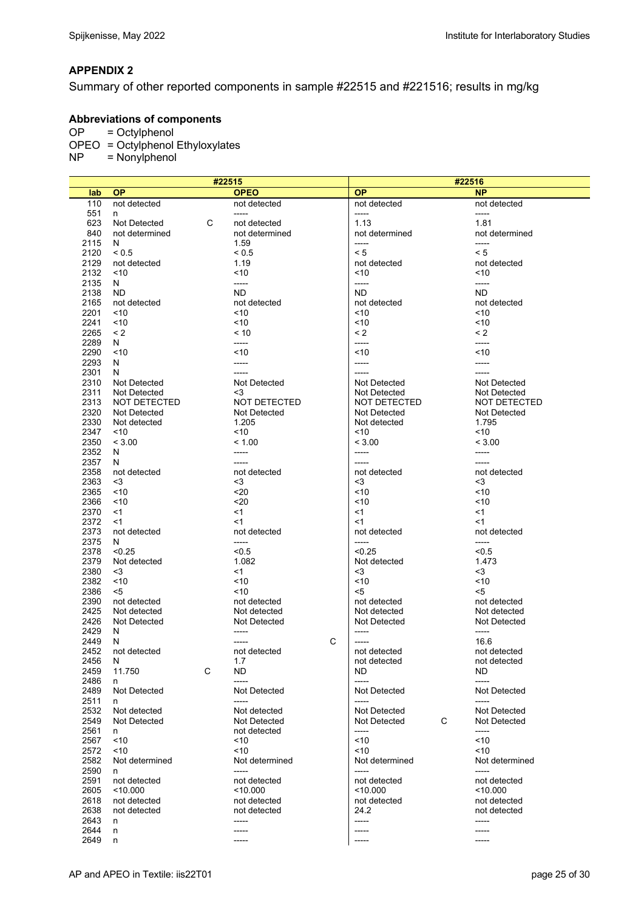## **APPENDIX 2**

Summary of other reported components in sample #22515 and #221516; results in mg/kg

### **Abbreviations of components**

OP = Octylphenol OPEO = Octylphenol Ethyloxylates  $NP = Nonylphenol$ 

|              | #22515                 |   |                    | #22516                    |                         |  |
|--------------|------------------------|---|--------------------|---------------------------|-------------------------|--|
| lab          | <b>OP</b>              |   | <b>OPEO</b>        | <b>OP</b>                 | <b>NP</b>               |  |
| 110          | not detected           |   | not detected       | not detected              | not detected            |  |
| 551          | n                      |   | -----              | -----                     | -----                   |  |
| 623          | Not Detected           | C | not detected       | 1.13                      | 1.81                    |  |
| 840          | not determined         |   | not determined     | not determined<br>$-----$ | not determined<br>----- |  |
| 2115<br>2120 | N<br>< 0.5             |   | 1.59<br>${}_{0.5}$ | < 5                       | < 5                     |  |
| 2129         | not detected           |   | 1.19               | not detected              | not detected            |  |
| 2132         | ~10                    |   | ~10                | ~10                       | ~10                     |  |
| 2135         | N                      |   | -----              | -----                     | -----                   |  |
| 2138         | ND                     |   | ND.                | <b>ND</b>                 | <b>ND</b>               |  |
| 2165         | not detected           |   | not detected       | not detected              | not detected            |  |
| 2201         | ~10                    |   | ~10                | ~10                       | 10                      |  |
| 2241         | ~10                    |   | ~10                | 10                        | ~10                     |  |
| 2265         | $\leq$ 2               |   | $~<$ 10            | $\leq$ 2                  | $\leq$ 2                |  |
| 2289         | N                      |   | -----              | -----                     | -----                   |  |
| 2290<br>2293 | ~10                    |   | ~10<br>-----       | 10<br>-----               | < 10<br>-----           |  |
| 2301         | N<br>N                 |   |                    | $-----$                   | -----                   |  |
| 2310         | Not Detected           |   | Not Detected       | Not Detected              | Not Detected            |  |
| 2311         | <b>Not Detected</b>    |   | <3                 | Not Detected              | Not Detected            |  |
| 2313         | NOT DETECTED           |   | NOT DETECTED       | NOT DETECTED              | NOT DETECTED            |  |
| 2320         | Not Detected           |   | Not Detected       | Not Detected              | Not Detected            |  |
| 2330         | Not detected           |   | 1.205              | Not detected              | 1.795                   |  |
| 2347         | ~10                    |   | ~10                | ~10                       | ~10                     |  |
| 2350         | < 3.00                 |   | < 1.00             | < 3.00                    | < 3.00                  |  |
| 2352<br>2357 | N                      |   | -----<br>-----     | -----<br>$--- -$          | -----<br>$--- -$        |  |
| 2358         | N<br>not detected      |   | not detected       | not detected              | not detected            |  |
| 2363         | <3                     |   | <3                 | <3                        | <3                      |  |
| 2365         | ~10                    |   | $20$               | 10                        | ~10                     |  |
| 2366         | ~10                    |   | $20$               | ~10                       | ~10                     |  |
| 2370         | $<$ 1                  |   | <1                 | <1                        | $<$ 1                   |  |
| 2372         | $<$ 1                  |   | $<$ 1              | <1                        | $<$ 1                   |  |
| 2373         | not detected           |   | not detected       | not detected              | not detected            |  |
| 2375         | N                      |   | -----              | -----                     | -----                   |  |
| 2378<br>2379 | < 0.25<br>Not detected |   | < 0.5<br>1.082     | < 0.25<br>Not detected    | < 0.5<br>1.473          |  |
| 2380         | <3                     |   | $<$ 1              | $3$                       | $3$                     |  |
| 2382         | ~10                    |   | ~10                | < 10                      | ~10                     |  |
| 2386         | <5                     |   | ~10                | <5                        | <5                      |  |
| 2390         | not detected           |   | not detected       | not detected              | not detected            |  |
| 2425         | Not detected           |   | Not detected       | Not detected              | Not detected            |  |
| 2426         | Not Detected           |   | Not Detected       | Not Detected              | Not Detected            |  |
| 2429         | N                      |   |                    | -----                     | -----                   |  |
| 2449<br>2452 | N<br>not detected      |   | С<br>not detected  | not detected              | 16.6<br>not detected    |  |
| 2456         | N                      |   | 1.7                | not detected              | not detected            |  |
| 2459         | 11.750                 | С | ND                 | ND                        | ND.                     |  |
| 2486         | n                      |   |                    | -----                     | -----                   |  |
| 2489         | <b>Not Detected</b>    |   | Not Detected       | Not Detected              | Not Detected            |  |
| 2511         | n                      |   | -----              | -----                     | $-----$                 |  |
| 2532         | Not detected           |   | Not detected       | Not Detected              | Not Detected            |  |
| 2549         | Not Detected           |   | Not Detected       | С<br>Not Detected         | Not Detected            |  |
| 2561         | n                      |   | not detected       | -----                     | -----                   |  |
| 2567         | < 10<br>~10            |   | ~10<br>~10         | 10<br>10                  | < 10<br>~10             |  |
| 2572<br>2582 | Not determined         |   | Not determined     | Not determined            | Not determined          |  |
| 2590         | n                      |   | -----              | -----                     | -----                   |  |
| 2591         | not detected           |   | not detected       | not detected              | not detected            |  |
| 2605         | $<$ 10.000             |   | 10.000             | < 10.000                  | < 10.000                |  |
| 2618         | not detected           |   | not detected       | not detected              | not detected            |  |
| 2638         | not detected           |   | not detected       | 24.2                      | not detected            |  |
| 2643         | n                      |   | -----              | -----                     | -----                   |  |
| 2644         | n                      |   | -----              | -----                     |                         |  |
| 2649         | n                      |   |                    | -----                     |                         |  |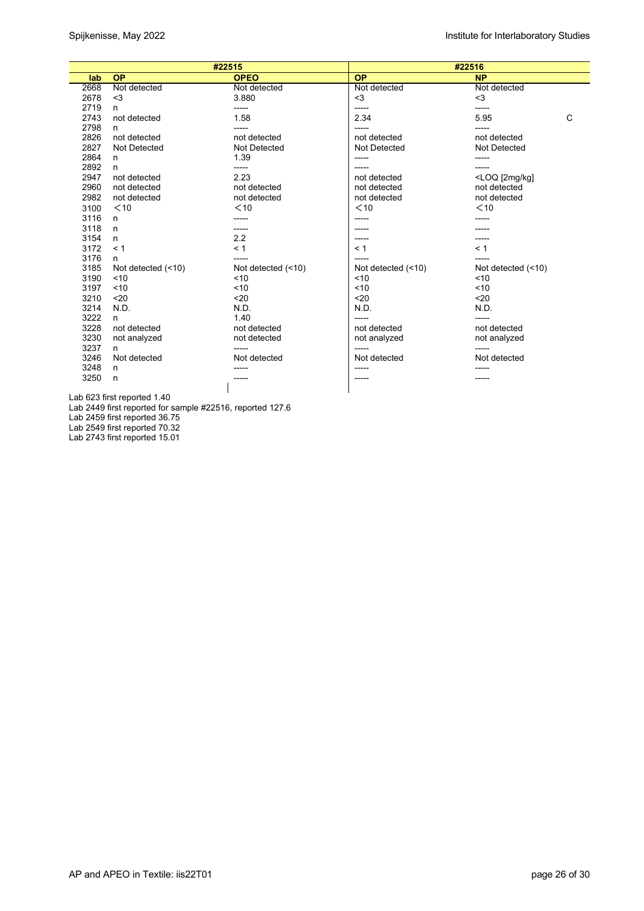| #22515 |                        |                    | #22516              |                                   |  |  |
|--------|------------------------|--------------------|---------------------|-----------------------------------|--|--|
| lab    | <b>OP</b>              | <b>OPEO</b>        | <b>OP</b>           | <b>NP</b>                         |  |  |
| 2668   | Not detected           | Not detected       | Not detected        | Not detected                      |  |  |
| 2678   | $3$                    | 3.880              | $3$                 | $3$                               |  |  |
| 2719   | n                      | -----              | -----               |                                   |  |  |
| 2743   | not detected           | 1.58               | 2.34                | 5.95<br>C                         |  |  |
| 2798   | n                      | -----              | ------              | -----                             |  |  |
| 2826   | not detected           | not detected       | not detected        | not detected                      |  |  |
| 2827   | Not Detected           | Not Detected       | <b>Not Detected</b> | <b>Not Detected</b>               |  |  |
| 2864   | n                      | 1.39               | -----               | -----                             |  |  |
| 2892   | n                      | -----              | -----               | -----                             |  |  |
| 2947   | not detected           | 2.23               | not detected        | <loq [2mg="" kg]<="" td=""></loq> |  |  |
| 2960   | not detected           | not detected       | not detected        | not detected                      |  |  |
| 2982   | not detected           | not detected       | not detected        | not detected                      |  |  |
| 3100   | $<$ 10                 | $<$ 10             | $<$ 10              | $<$ 10                            |  |  |
| 3116   | n                      |                    |                     |                                   |  |  |
| 3118   | n                      | -----              |                     |                                   |  |  |
| 3154   | n                      | 2.2                | -----               |                                   |  |  |
| 3172   | < 1                    | < 1                | < 1                 | < 1                               |  |  |
| 3176   | n                      |                    |                     |                                   |  |  |
| 3185   | Not detected $($ < 10) | Not detected (<10) | Not detected (<10)  | Not detected (<10)                |  |  |
| 3190   | < 10                   | 10                 | < 10                | < 10                              |  |  |
| 3197   | ~10                    | < 10               | 10                  | < 10                              |  |  |
| 3210   | $20$                   | $20$               | $20$                | $20$                              |  |  |
| 3214   | N.D.                   | N.D.               | N.D.                | N.D.                              |  |  |
| 3222   | n                      | 1.40               | -----               |                                   |  |  |
| 3228   | not detected           | not detected       | not detected        | not detected                      |  |  |
| 3230   | not analyzed           | not detected       | not analyzed        | not analyzed                      |  |  |
| 3237   | n                      |                    |                     |                                   |  |  |
| 3246   | Not detected           | Not detected       | Not detected        | Not detected                      |  |  |
| 3248   | n                      |                    | -----               |                                   |  |  |
| 3250   | n                      |                    |                     |                                   |  |  |
|        |                        |                    |                     |                                   |  |  |

Lab 623 first reported 1.40

Lab 2449 first reported for sample #22516, reported 127.6

Lab 2459 first reported 36.75

Lab 2549 first reported 70.32 Lab 2743 first reported 15.01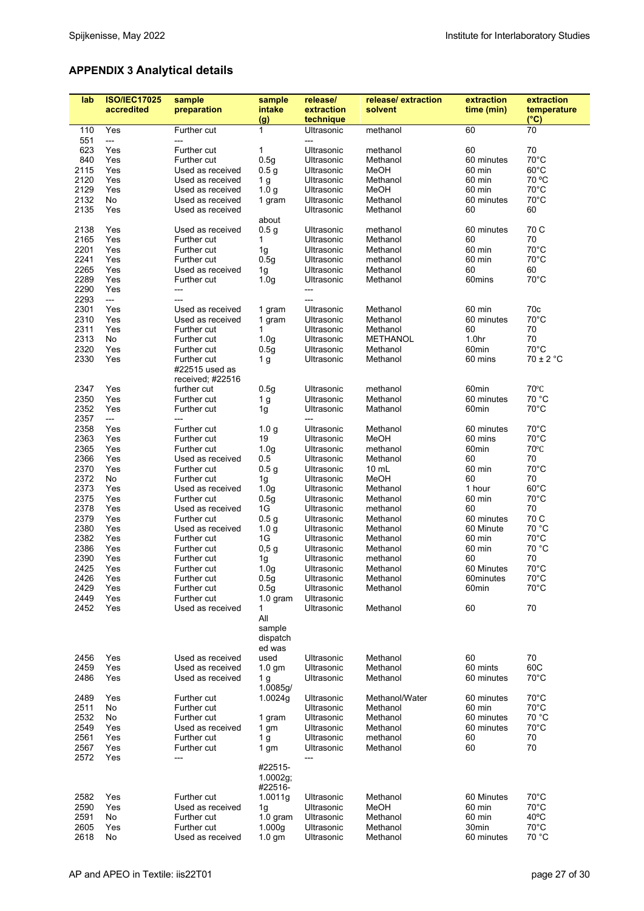# **APPENDIX 3 Analytical details**

| lab          | <b>ISO/IEC17025</b>           | sample                                   | sample                    | release/                 | release/extraction | extraction        | extraction              |
|--------------|-------------------------------|------------------------------------------|---------------------------|--------------------------|--------------------|-------------------|-------------------------|
|              | accredited                    | preparation                              | intake                    | extraction               | solvent            | time (min)        | temperature             |
|              |                               |                                          | (g)                       | technique                |                    |                   | $(^{\circ}C)$           |
| 110<br>551   | Yes<br>---                    | Further cut                              | 1                         | <b>Ultrasonic</b><br>--- | methanol           | 60                | 70                      |
| 623          | Yes                           | Further cut                              | 1                         | Ultrasonic               | methanol           | 60                | 70                      |
| 840          | Yes                           | Further cut                              | 0.5g                      | Ultrasonic               | Methanol           | 60 minutes        | 70°C                    |
| 2115         | Yes                           | Used as received                         | 0.5 <sub>g</sub>          | Ultrasonic               | MeOH               | 60 min            | $60^{\circ}$ C          |
| 2120         | Yes                           | Used as received                         | 1 <sub>g</sub>            | Ultrasonic               | Methanol           | 60 min            | 70 °C                   |
| 2129         | Yes                           | Used as received                         | 1.0 <sub>g</sub>          | Ultrasonic               | MeOH               | 60 min            | $70^{\circ}$ C          |
| 2132         | No                            | Used as received                         | 1 gram                    | Ultrasonic               | Methanol           | 60 minutes        | $70^{\circ}$ C          |
| 2135         | Yes                           | Used as received                         |                           | Ultrasonic               | Methanol           | 60                | 60                      |
| 2138         | Yes                           | Used as received                         | about<br>0.5 <sub>g</sub> | Ultrasonic               | methanol           | 60 minutes        | 70 C                    |
|              |                               |                                          |                           |                          |                    |                   |                         |
| 2165         | Yes                           | Further cut<br>Further cut               | 1                         | Ultrasonic               | Methanol           | 60                | 70<br>$70^{\circ}$ C    |
| 2201         | Yes                           |                                          | 1g                        | Ultrasonic               | Methanol           | 60 min            | $70^{\circ}$ C          |
| 2241         | Yes                           | Further cut                              | 0.5g                      | Ultrasonic               | methanol           | 60 min            |                         |
| 2265         | Yes                           | Used as received                         | 1g                        | Ultrasonic               | Methanol           | 60                | 60                      |
| 2289         | Yes                           | Further cut                              | 1.0 <sub>g</sub>          | Ultrasonic               | Methanol           | 60mins            | $70^{\circ}$ C          |
| 2290         | Yes                           | ---                                      |                           | ---                      |                    |                   |                         |
| 2293         | $\overline{a}$                | ---                                      |                           | ---                      |                    |                   |                         |
| 2301         | Yes                           | Used as received                         | 1 gram                    | Ultrasonic               | Methanol           | 60 min            | 70c                     |
| 2310         | Yes                           | Used as received                         | 1 gram                    | Ultrasonic               | Methanol           | 60 minutes        | $70^{\circ}$ C          |
| 2311         | Yes                           | Further cut                              | 1                         | Ultrasonic               | Methanol           | 60                | 70                      |
| 2313         | No                            | Further cut                              | 1.0 <sub>g</sub>          | <b>Ultrasonic</b>        | <b>METHANOL</b>    | 1.0 <sub>hr</sub> | 70                      |
| 2320         | Yes                           | Further cut                              | 0.5 <sub>g</sub>          | Ultrasonic               | Methanol           | 60 <sub>min</sub> | 70°C                    |
| 2330         | Yes                           | Further cut                              | 1 <sub>g</sub>            | Ultrasonic               | Methanol           | 60 mins           | $70 \pm 2$ °C           |
|              |                               | $\#22515$ used as<br>received; $\#22516$ |                           |                          |                    |                   |                         |
| 2347         | Yes                           | further cut                              | 0.5g                      | Ultrasonic               | methanol           | 60 <sub>min</sub> | 70°C                    |
| 2350         | Yes                           | <b>Further cut</b>                       | 1 <sub>g</sub>            | Ultrasonic               | Methanol           | 60 minutes        | 70 °C                   |
| 2352<br>2357 | Yes<br>$\qquad \qquad \cdots$ | Further cut<br>---                       | 1g                        | Ultrasonic<br>---        | Mathanol           | 60 <sub>min</sub> | $70^{\circ}$ C          |
| 2358         | Yes                           | Further cut                              | 1.0 <sub>g</sub>          | Ultrasonic               | Methanol           | 60 minutes        | $70^{\circ}$ C          |
| 2363         | Yes                           | Further cut                              | 19                        | Ultrasonic               | MeOH               | 60 mins           | $70^{\circ}$ C          |
| 2365         | Yes                           | Further cut                              | 1.0 <sub>g</sub>          | Ultrasonic               | methanol           | 60 <sub>min</sub> | 70°C                    |
| 2366         | Yes                           | Used as received                         | 0.5                       | Ultrasonic               | Methanol           | 60                | 70                      |
| 2370         | Yes                           | Further cut                              | 0.5 <sub>g</sub>          | Ultrasonic               | $10 \text{ mL}$    | 60 min            | $70^{\circ}$ C          |
| 2372         | No                            | Further cut                              |                           | Ultrasonic               | MeOH               | 60                | 70                      |
| 2373         | Yes                           | Used as received                         | 1g<br>1.0 <sub>g</sub>    | Ultrasonic               | Methanol           | 1 hour            | $60^{\circ}$ C          |
| 2375         | Yes                           | Further cut                              | 0.5g                      | Ultrasonic               | Methanol           | 60 min            | $70^{\circ}$ C          |
| 2378         | Yes                           |                                          | 1G                        |                          |                    | 60                | 70                      |
|              |                               | Used as received                         |                           | Ultrasonic               | methanol           | 60 minutes        | 70 C                    |
| 2379         | Yes                           | Further cut                              | 0.5 <sub>g</sub>          | Ultrasonic               | Methanol           |                   |                         |
| 2380         | Yes                           | Used as received                         | 1.0 <sub>g</sub>          | Ultrasonic               | Methanol           | 60 Minute         | 70 °C<br>$70^{\circ}$ C |
| 2382         | Yes                           | <b>Further cut</b>                       | 1G                        | Ultrasonic               | Methanol           | 60 min            |                         |
| 2386         | Yes                           | Further cut                              | 0,5g                      | Ultrasonic               | Methanol           | 60 min            | 70 °C                   |
| 2390         | Yes                           | Further cut                              | 1g                        | Ultrasonic               | methanol           | 60                | 70                      |
| 2425         | Yes                           | Further cut                              | 1.0 <sub>g</sub>          | Ultrasonic               | Methanol           | 60 Minutes        | $70^{\circ}$ C          |
| 2426         | Yes                           | Further cut                              | 0.5g                      | Ultrasonic               | Methanol           | 60minutes         | 70°C                    |
| 2429         | Yes                           | Further cut                              | 0.5g                      | Ultrasonic               | Methanol           | 60 <sub>min</sub> | $70^{\circ}$ C          |
| 2449         | Yes                           | Further cut                              | $1.0$ gram                | Ultrasonic               |                    |                   |                         |
| 2452         | Yes                           | Used as received                         | 1<br>All                  | <b>Ultrasonic</b>        | Methanol           | 60                | 70                      |
|              |                               |                                          | sample<br>dispatch        |                          |                    |                   |                         |
|              |                               |                                          | ed was                    |                          |                    |                   |                         |
| 2456         | Yes                           | Used as received                         | used                      | Ultrasonic               | Methanol           | 60                | 70                      |
| 2459         | Yes                           | Used as received                         | $1.0$ gm                  | Ultrasonic               | Methanol           | 60 mints          | 60C                     |
| 2486         | Yes                           | Used as received                         | 1 <sub>g</sub>            | Ultrasonic               | Methanol           | 60 minutes        | 70°C                    |
|              |                               |                                          | 1.0085g/                  |                          |                    |                   |                         |
| 2489         | Yes                           | Further cut                              | 1.0024g                   | Ultrasonic               | Methanol/Water     | 60 minutes        | $70^{\circ}$ C          |
| 2511         | No                            | Further cut                              |                           | Ultrasonic               | Methanol           | 60 min            | $70^{\circ}$ C          |
| 2532         | No                            | Further cut                              | 1 gram                    | Ultrasonic               | Methanol           | 60 minutes        | 70 °C                   |
| 2549         | Yes                           | Used as received                         | 1 gm                      | Ultrasonic               | Methanol           | 60 minutes        | $70^{\circ}$ C          |
| 2561         | Yes                           | Further cut                              | 1 <sub>q</sub>            | Ultrasonic               | methanol           | 60                | 70                      |
| 2567         | Yes                           | Further cut                              | 1 $gm$                    | Ultrasonic               | Methanol           | 60                | 70                      |
| 2572         | Yes                           | ---                                      | #22515-                   |                          |                    |                   |                         |
|              |                               |                                          | 1.0002g;<br>#22516-       |                          |                    |                   |                         |
| 2582         | Yes                           | Further cut                              | 1.0011g                   | Ultrasonic               | Methanol           | 60 Minutes        | $70^{\circ}$ C          |
| 2590         | Yes                           | Used as received                         |                           | Ultrasonic               | MeOH               | 60 min            | 70°C                    |
| 2591         | No                            |                                          | 1g<br>1.0 gram            | Ultrasonic               | Methanol           | 60 min            | 40°C                    |
|              |                               | Further cut                              |                           |                          |                    |                   | $70^{\circ}$ C          |
| 2605         | Yes                           | Further cut                              | 1.000 <sub>g</sub>        | Ultrasonic               | Methanol           | 30 <sub>min</sub> |                         |
| 2618         | No                            | Used as received                         | $1.0$ gm                  | Ultrasonic               | Methanol           | 60 minutes        | 70 °C                   |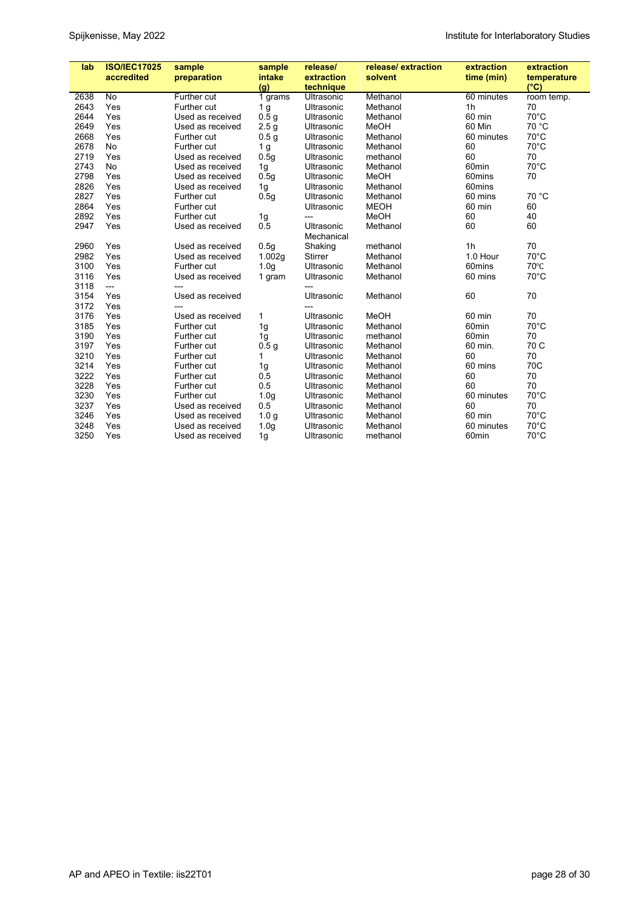| lab  | <b>ISO/IEC17025</b> | sample           | sample           | release/                 | release/extraction | extraction        | extraction                   |
|------|---------------------|------------------|------------------|--------------------------|--------------------|-------------------|------------------------------|
|      | accredited          | preparation      | intake<br>(g)    | extraction<br>technique  | solvent            | time (min)        | temperature<br>$(^{\circ}C)$ |
| 2638 | <b>No</b>           | Further cut      | 1 grams          | Ultrasonic               | Methanol           | 60 minutes        | room temp.                   |
| 2643 | Yes                 | Further cut      | 1 <sub>g</sub>   | Ultrasonic               | Methanol           | 1 <sub>h</sub>    | 70                           |
| 2644 | Yes                 | Used as received | 0.5 <sub>g</sub> | Ultrasonic               | Methanol           | 60 min            | $70^{\circ}$ C               |
| 2649 | Yes                 | Used as received | 2.5 <sub>g</sub> | Ultrasonic               | <b>MeOH</b>        | 60 Min            | 70 °C                        |
| 2668 | Yes                 | Further cut      | 0.5 <sub>g</sub> | Ultrasonic               | Methanol           | 60 minutes        | $70^{\circ}$ C               |
| 2678 | No                  | Further cut      | 1 <sub>g</sub>   | Ultrasonic               | Methanol           | 60                | $70^{\circ}$ C               |
| 2719 | Yes                 | Used as received | 0.5g             | Ultrasonic               | methanol           | 60                | 70                           |
| 2743 | <b>No</b>           | Used as received | 1g               | Ultrasonic               | Methanol           | 60 <sub>min</sub> | $70^{\circ}$ C               |
| 2798 | Yes                 | Used as received | 0.5 <sub>g</sub> | Ultrasonic               | MeOH               | 60mins            | 70                           |
| 2826 | Yes                 | Used as received | 1g               | Ultrasonic               | Methanol           | 60mins            |                              |
| 2827 | Yes                 | Further cut      | 0.5q             | Ultrasonic               | Methanol           | 60 mins           | 70 °C                        |
| 2864 | Yes                 | Further cut      |                  | Ultrasonic               | <b>MEOH</b>        | 60 min            | 60                           |
| 2892 | Yes                 | Further cut      | 1g               | ---                      | MeOH               | 60                | 40                           |
| 2947 | Yes                 | Used as received | 0.5              | Ultrasonic<br>Mechanical | Methanol           | 60                | 60                           |
| 2960 | Yes                 | Used as received | 0.5g             | Shaking                  | methanol           | 1 <sub>h</sub>    | 70                           |
| 2982 | Yes                 | Used as received | 1.002g           | <b>Stirrer</b>           | Methanol           | 1.0 Hour          | $70^{\circ}$ C               |
| 3100 | Yes                 | Further cut      | 1.0 <sub>q</sub> | Ultrasonic               | Methanol           | 60mins            | 70°C                         |
| 3116 | Yes                 | Used as received | 1 gram           | Ultrasonic               | Methanol           | 60 mins           | $70^{\circ}$ C               |
| 3118 | ---                 |                  |                  |                          |                    |                   |                              |
| 3154 | Yes                 | Used as received |                  | Ultrasonic               | Methanol           | 60                | 70                           |
| 3172 | Yes                 | ---              |                  | ---                      |                    |                   |                              |
| 3176 | Yes                 | Used as received | $\mathbf{1}$     | Ultrasonic               | <b>MeOH</b>        | 60 min            | 70                           |
| 3185 | Yes                 | Further cut      | 1 <sub>g</sub>   | Ultrasonic               | Methanol           | 60 <sub>min</sub> | $70^{\circ}$ C               |
| 3190 | Yes                 | Further cut      | 1g               | Ultrasonic               | methanol           | 60 <sub>min</sub> | 70                           |
| 3197 | Yes                 | Further cut      | 0.5 <sub>q</sub> | Ultrasonic               | Methanol           | 60 min.           | 70 C                         |
| 3210 | Yes                 | Further cut      | 1                | Ultrasonic               | Methanol           | 60                | 70                           |
| 3214 | Yes                 | Further cut      | 1g               | Ultrasonic               | Methanol           | 60 mins           | 70C                          |
| 3222 | Yes                 | Further cut      | 0.5              | Ultrasonic               | Methanol           | 60                | 70                           |
| 3228 | Yes                 | Further cut      | 0.5              | Ultrasonic               | Methanol           | 60                | 70                           |
| 3230 | Yes                 | Further cut      | 1.0 <sub>g</sub> | Ultrasonic               | Methanol           | 60 minutes        | $70^{\circ}$ C               |
| 3237 | Yes                 | Used as received | 0.5              | Ultrasonic               | Methanol           | 60                | 70                           |
| 3246 | Yes                 | Used as received | 1.0 <sub>g</sub> | Ultrasonic               | Methanol           | 60 min            | $70^{\circ}$ C               |
| 3248 | Yes                 | Used as received | 1.0 <sub>q</sub> | Ultrasonic               | Methanol           | 60 minutes        | $70^{\circ}$ C               |
| 3250 | Yes                 | Used as received | 1g               | Ultrasonic               | methanol           | 60 <sub>min</sub> | $70^{\circ}$ C               |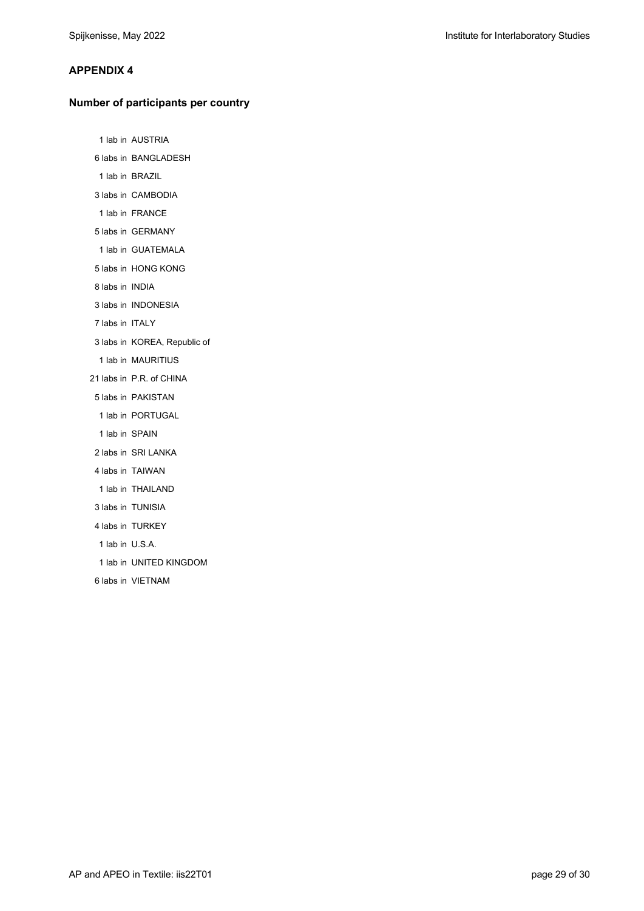#### **APPENDIX 4**

#### **Number of participants per country**

1 lab in AUSTRIA

6 labs in BANGLADESH

1 lab in BRAZIL

3 labs in CAMBODIA

1 lab in FRANCE

5 labs in GERMANY

1 lab in GUATEMALA

5 labs in HONG KONG

8 labs in INDIA

3 labs in INDONESIA

7 labs in ITALY

3 labs in KOREA, Republic of

1 lab in MAURITIUS

21 labs in P.R. of CHINA

5 labs in PAKISTAN

1 lab in PORTUGAL

1 lab in SPAIN

2 labs in SRI LANKA

4 labs in TAIWAN

1 lab in THAILAND

3 labs in TUNISIA

4 labs in TURKEY

1 lab in U.S.A.

1 lab in UNITED KINGDOM

6 labs in VIETNAM